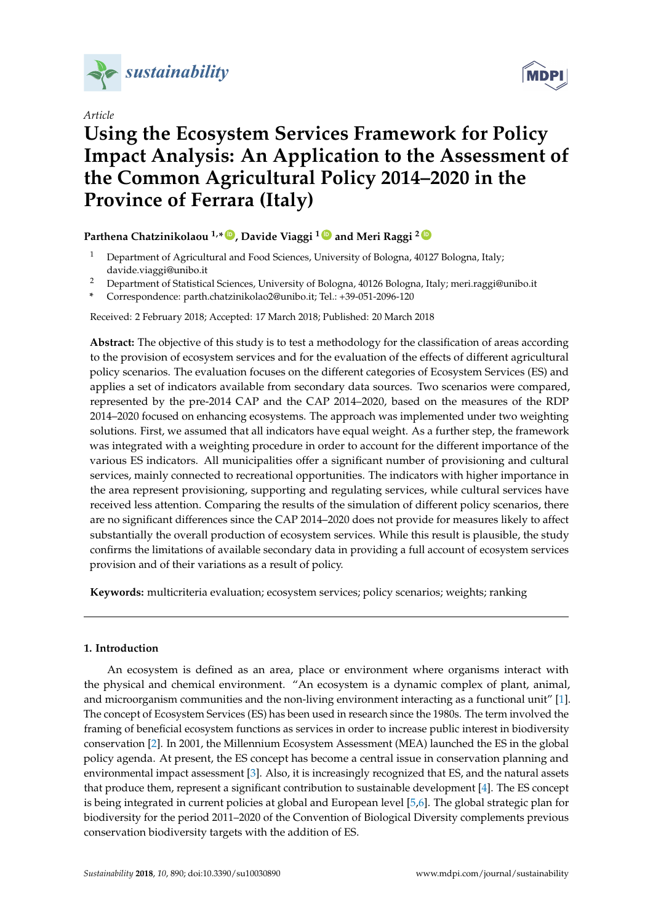

*Article*



# **Using the Ecosystem Services Framework for Policy Impact Analysis: An Application to the Assessment of the Common Agricultural Policy 2014–2020 in the Province of Ferrara (Italy)**

### **Parthena Chatzinikolaou 1,\* [ID](https://orcid.org/0000-0002-3337-9294) , Davide Viaggi <sup>1</sup> [ID](https://orcid.org/0000-0001-9503-2977) and Meri Raggi <sup>2</sup> [ID](https://orcid.org/0000-0001-6960-1099)**

- <sup>1</sup> Department of Agricultural and Food Sciences, University of Bologna, 40127 Bologna, Italy; davide.viaggi@unibo.it
- <sup>2</sup> Department of Statistical Sciences, University of Bologna, 40126 Bologna, Italy; meri.raggi@unibo.it
- **\*** Correspondence: parth.chatzinikolao2@unibo.it; Tel.: +39-051-2096-120

Received: 2 February 2018; Accepted: 17 March 2018; Published: 20 March 2018

**Abstract:** The objective of this study is to test a methodology for the classification of areas according to the provision of ecosystem services and for the evaluation of the effects of different agricultural policy scenarios. The evaluation focuses on the different categories of Ecosystem Services (ES) and applies a set of indicators available from secondary data sources. Two scenarios were compared, represented by the pre-2014 CAP and the CAP 2014–2020, based on the measures of the RDP 2014–2020 focused on enhancing ecosystems. The approach was implemented under two weighting solutions. First, we assumed that all indicators have equal weight. As a further step, the framework was integrated with a weighting procedure in order to account for the different importance of the various ES indicators. All municipalities offer a significant number of provisioning and cultural services, mainly connected to recreational opportunities. The indicators with higher importance in the area represent provisioning, supporting and regulating services, while cultural services have received less attention. Comparing the results of the simulation of different policy scenarios, there are no significant differences since the CAP 2014–2020 does not provide for measures likely to affect substantially the overall production of ecosystem services. While this result is plausible, the study confirms the limitations of available secondary data in providing a full account of ecosystem services provision and of their variations as a result of policy.

**Keywords:** multicriteria evaluation; ecosystem services; policy scenarios; weights; ranking

#### **1. Introduction**

An ecosystem is defined as an area, place or environment where organisms interact with the physical and chemical environment. "An ecosystem is a dynamic complex of plant, animal, and microorganism communities and the non-living environment interacting as a functional unit" [\[1\]](#page-17-0). The concept of Ecosystem Services (ES) has been used in research since the 1980s. The term involved the framing of beneficial ecosystem functions as services in order to increase public interest in biodiversity conservation [\[2\]](#page-17-1). In 2001, the Millennium Ecosystem Assessment (MEA) launched the ES in the global policy agenda. At present, the ES concept has become a central issue in conservation planning and environmental impact assessment [\[3\]](#page-17-2). Also, it is increasingly recognized that ES, and the natural assets that produce them, represent a significant contribution to sustainable development [\[4\]](#page-17-3). The ES concept is being integrated in current policies at global and European level [\[5,](#page-17-4)[6\]](#page-17-5). The global strategic plan for biodiversity for the period 2011–2020 of the Convention of Biological Diversity complements previous conservation biodiversity targets with the addition of ES.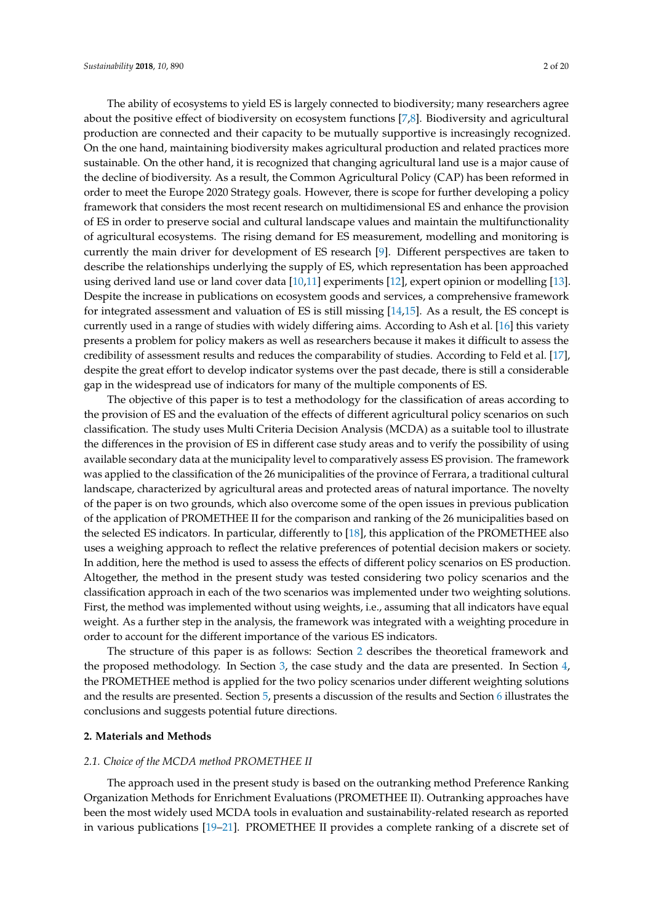The ability of ecosystems to yield ES is largely connected to biodiversity; many researchers agree about the positive effect of biodiversity on ecosystem functions [\[7,](#page-17-6)[8\]](#page-17-7). Biodiversity and agricultural production are connected and their capacity to be mutually supportive is increasingly recognized. On the one hand, maintaining biodiversity makes agricultural production and related practices more sustainable. On the other hand, it is recognized that changing agricultural land use is a major cause of the decline of biodiversity. As a result, the Common Agricultural Policy (CAP) has been reformed in order to meet the Europe 2020 Strategy goals. However, there is scope for further developing a policy framework that considers the most recent research on multidimensional ES and enhance the provision of ES in order to preserve social and cultural landscape values and maintain the multifunctionality of agricultural ecosystems. The rising demand for ES measurement, modelling and monitoring is currently the main driver for development of ES research [\[9\]](#page-17-8). Different perspectives are taken to describe the relationships underlying the supply of ES, which representation has been approached using derived land use or land cover data [\[10](#page-17-9)[,11\]](#page-17-10) experiments [\[12\]](#page-17-11), expert opinion or modelling [\[13\]](#page-17-12). Despite the increase in publications on ecosystem goods and services, a comprehensive framework for integrated assessment and valuation of ES is still missing [\[14](#page-17-13)[,15\]](#page-17-14). As a result, the ES concept is currently used in a range of studies with widely differing aims. According to Ash et al. [\[16\]](#page-17-15) this variety presents a problem for policy makers as well as researchers because it makes it difficult to assess the credibility of assessment results and reduces the comparability of studies. According to Feld et al. [\[17\]](#page-17-16), despite the great effort to develop indicator systems over the past decade, there is still a considerable gap in the widespread use of indicators for many of the multiple components of ES.

The objective of this paper is to test a methodology for the classification of areas according to the provision of ES and the evaluation of the effects of different agricultural policy scenarios on such classification. The study uses Multi Criteria Decision Analysis (MCDA) as a suitable tool to illustrate the differences in the provision of ES in different case study areas and to verify the possibility of using available secondary data at the municipality level to comparatively assess ES provision. The framework was applied to the classification of the 26 municipalities of the province of Ferrara, a traditional cultural landscape, characterized by agricultural areas and protected areas of natural importance. The novelty of the paper is on two grounds, which also overcome some of the open issues in previous publication of the application of PROMETHEE II for the comparison and ranking of the 26 municipalities based on the selected ES indicators. In particular, differently to [\[18\]](#page-17-17), this application of the PROMETHEE also uses a weighing approach to reflect the relative preferences of potential decision makers or society. In addition, here the method is used to assess the effects of different policy scenarios on ES production. Altogether, the method in the present study was tested considering two policy scenarios and the classification approach in each of the two scenarios was implemented under two weighting solutions. First, the method was implemented without using weights, i.e., assuming that all indicators have equal weight. As a further step in the analysis, the framework was integrated with a weighting procedure in order to account for the different importance of the various ES indicators.

The structure of this paper is as follows: Section [2](#page-1-0) describes the theoretical framework and the proposed methodology. In Section [3,](#page-4-0) the case study and the data are presented. In Section [4,](#page-8-0) the PROMETHEE method is applied for the two policy scenarios under different weighting solutions and the results are presented. Section [5,](#page-12-0) presents a discussion of the results and Section [6](#page-13-0) illustrates the conclusions and suggests potential future directions.

#### <span id="page-1-0"></span>**2. Materials and Methods**

#### *2.1. Choice of the MCDA method PROMETHEE II*

The approach used in the present study is based on the outranking method Preference Ranking Organization Methods for Enrichment Evaluations (PROMETHEE II). Outranking approaches have been the most widely used MCDA tools in evaluation and sustainability-related research as reported in various publications [\[19–](#page-17-18)[21\]](#page-17-19). PROMETHEE II provides a complete ranking of a discrete set of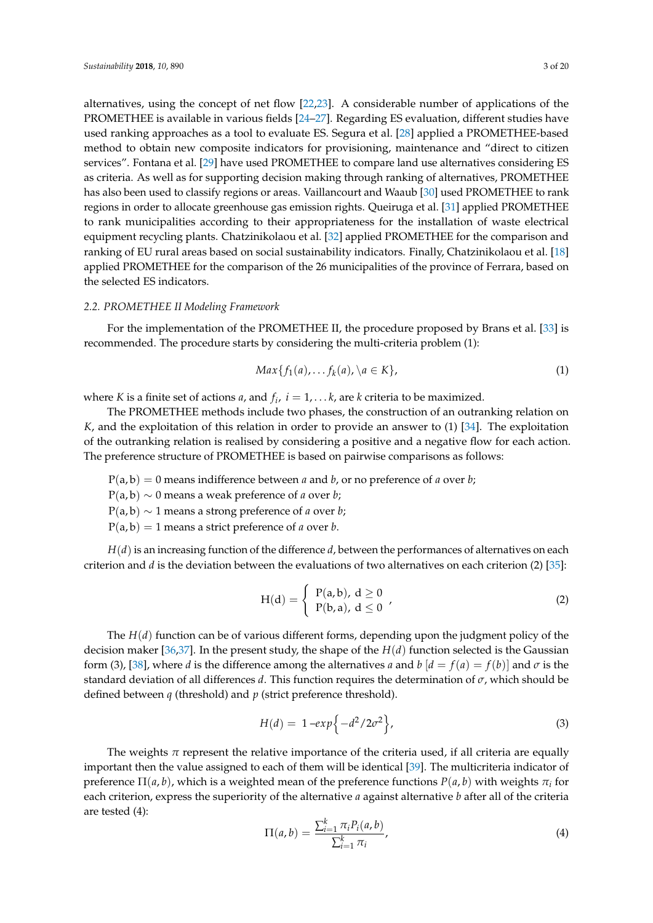alternatives, using the concept of net flow [\[22](#page-17-20)[,23\]](#page-18-0). A considerable number of applications of the PROMETHEE is available in various fields [\[24–](#page-18-1)[27\]](#page-18-2). Regarding ES evaluation, different studies have used ranking approaches as a tool to evaluate ES. Segura et al. [\[28\]](#page-18-3) applied a PROMETHEE-based method to obtain new composite indicators for provisioning, maintenance and "direct to citizen services". Fontana et al. [\[29\]](#page-18-4) have used PROMETHEE to compare land use alternatives considering ES as criteria. As well as for supporting decision making through ranking of alternatives, PROMETHEE has also been used to classify regions or areas. Vaillancourt and Waaub [\[30\]](#page-18-5) used PROMETHEE to rank regions in order to allocate greenhouse gas emission rights. Queiruga et al. [\[31\]](#page-18-6) applied PROMETHEE to rank municipalities according to their appropriateness for the installation of waste electrical equipment recycling plants. Chatzinikolaou et al. [\[32\]](#page-18-7) applied PROMETHEE for the comparison and ranking of EU rural areas based on social sustainability indicators. Finally, Chatzinikolaou et al. [\[18\]](#page-17-17) applied PROMETHEE for the comparison of the 26 municipalities of the province of Ferrara, based on the selected ES indicators.

#### *2.2. PROMETHEE II Modeling Framework*

For the implementation of the PROMETHEE II, the procedure proposed by Brans et al. [\[33\]](#page-18-8) is recommended. The procedure starts by considering the multi-criteria problem (1):

$$
Max{f1(a),...,fk(a), \lambda a \in K},
$$
\n(1)

where *K* is a finite set of actions *a*, and  $f_i$ ,  $i = 1, \ldots k$ , are *k* criteria to be maximized.

The PROMETHEE methods include two phases, the construction of an outranking relation on *K*, and the exploitation of this relation in order to provide an answer to (1) [\[34\]](#page-18-9). The exploitation of the outranking relation is realised by considering a positive and a negative flow for each action. The preference structure of PROMETHEE is based on pairwise comparisons as follows:

 $P(a, b) = 0$  means indifference between *a* and *b*, or no preference of *a* over *b*;

P(a, b) ∼ 0 means a weak preference of *a* over *b*;

P(a, b) ∼ 1 means a strong preference of *a* over *b*;

 $P(a, b) = 1$  means a strict preference of *a* over *b*.

*H*(*d*) is an increasing function of the difference *d*, between the performances of alternatives on each criterion and *d* is the deviation between the evaluations of two alternatives on each criterion (2) [\[35\]](#page-18-10):

$$
H(d) = \begin{cases} P(a,b), d \ge 0 \\ P(b,a), d \le 0 \end{cases}
$$
 (2)

The *H*(*d*) function can be of various different forms, depending upon the judgment policy of the decision maker [\[36](#page-18-11)[,37\]](#page-18-12). In the present study, the shape of the  $H(d)$  function selected is the Gaussian form (3), [\[38\]](#page-18-13), where *d* is the difference among the alternatives *a* and *b*  $\begin{bmatrix} d = f(a) = f(b) \end{bmatrix}$  and  $\sigma$  is the standard deviation of all differences *d*. This function requires the determination of *σ*, which should be defined between *q* (threshold) and *p* (strict preference threshold).

$$
H(d) = 1 - exp\{-d^2/2\sigma^2\},
$$
\n(3)

The weights  $\pi$  represent the relative importance of the criteria used, if all criteria are equally important then the value assigned to each of them will be identical [\[39\]](#page-18-14). The multicriteria indicator of preference  $\Pi(a,b)$ , which is a weighted mean of the preference functions  $P(a,b)$  with weights  $\pi_i$  for each criterion, express the superiority of the alternative *a* against alternative *b* after all of the criteria are tested (4):

$$
\Pi(a,b) = \frac{\sum_{i=1}^{k} \pi_i P_i(a,b)}{\sum_{i=1}^{k} \pi_i},
$$
\n(4)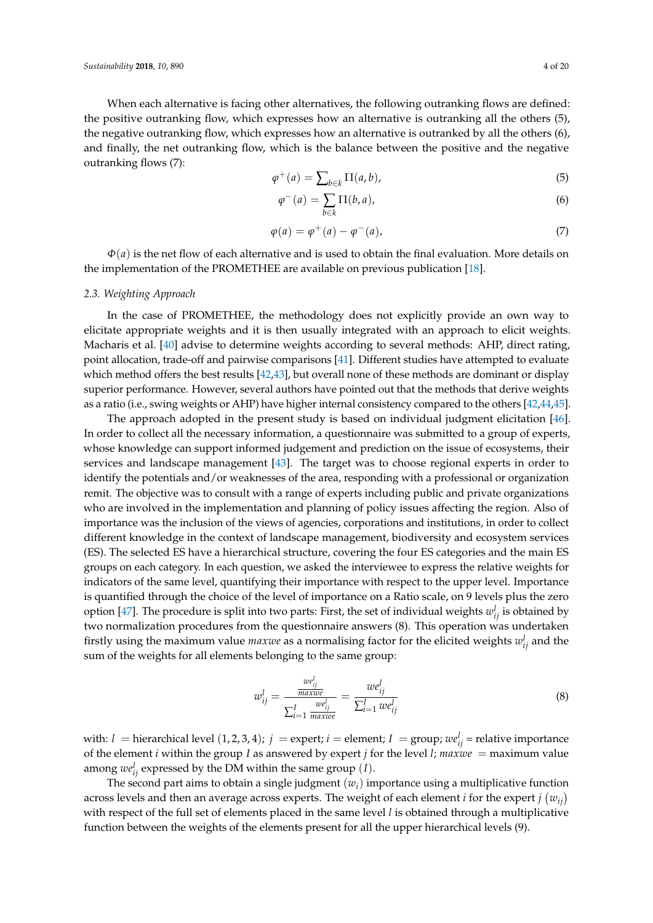When each alternative is facing other alternatives, the following outranking flows are defined: the positive outranking flow, which expresses how an alternative is outranking all the others (5), the negative outranking flow, which expresses how an alternative is outranked by all the others (6), and finally, the net outranking flow, which is the balance between the positive and the negative outranking flows (7):

$$
\varphi^+(a) = \sum_{b \in k} \Pi(a, b),\tag{5}
$$

$$
\varphi^-(a) = \sum_{b \in k} \Pi(b, a), \tag{6}
$$

$$
\varphi(a) = \varphi^+(a) - \varphi^-(a),\tag{7}
$$

*Φ*(*a*) is the net flow of each alternative and is used to obtain the final evaluation. More details on the implementation of the PROMETHEE are available on previous publication [\[18\]](#page-17-17).

#### *2.3. Weighting Approach*

In the case of PROMETHEE, the methodology does not explicitly provide an own way to elicitate appropriate weights and it is then usually integrated with an approach to elicit weights. Macharis et al. [\[40\]](#page-18-15) advise to determine weights according to several methods: AHP, direct rating, point allocation, trade-off and pairwise comparisons [\[41\]](#page-18-16). Different studies have attempted to evaluate which method offers the best results [\[42,](#page-18-17)[43\]](#page-18-18), but overall none of these methods are dominant or display superior performance. However, several authors have pointed out that the methods that derive weights as a ratio (i.e., swing weights or AHP) have higher internal consistency compared to the others [\[42](#page-18-17)[,44,](#page-18-19)[45\]](#page-18-20).

The approach adopted in the present study is based on individual judgment elicitation [\[46\]](#page-18-21). In order to collect all the necessary information, a questionnaire was submitted to a group of experts, whose knowledge can support informed judgement and prediction on the issue of ecosystems, their services and landscape management [\[43\]](#page-18-18). The target was to choose regional experts in order to identify the potentials and/or weaknesses of the area, responding with a professional or organization remit. The objective was to consult with a range of experts including public and private organizations who are involved in the implementation and planning of policy issues affecting the region. Also of importance was the inclusion of the views of agencies, corporations and institutions, in order to collect different knowledge in the context of landscape management, biodiversity and ecosystem services (ES). The selected ES have a hierarchical structure, covering the four ES categories and the main ES groups on each category. In each question, we asked the interviewee to express the relative weights for indicators of the same level, quantifying their importance with respect to the upper level. Importance is quantified through the choice of the level of importance on a Ratio scale, on 9 levels plus the zero option [\[47\]](#page-19-0). The procedure is split into two parts: First, the set of individual weights  $w_{ij}^l$  is obtained by two normalization procedures from the questionnaire answers (8). This operation was undertaken firstly using the maximum value  $maxwe$  as a normalising factor for the elicited weights  $w_{ij}^l$  and the sum of the weights for all elements belonging to the same group:

$$
w_{ij}^l = \frac{w e_{ij}^l}{\sum_{i=1}^I \frac{w e_{ij}^l}{max w e}} = \frac{w e_{ij}^l}{\sum_{i=1}^I w e_{ij}^l}
$$
(8)

with:  $l =$  hierarchical level  $(1, 2, 3, 4)$ ;  $j =$  expert;  $i =$  element;  $I =$  group;  $w e^{l}_{ij} =$  relative importance of the element *i* within the group *I* as answered by expert *j* for the level *l*;  $maxwe = maximum$  value among  $w_{ij}^l$  expressed by the DM within the same group  $(I)$ .

The second part aims to obtain a single judgment (*wi*) importance using a multiplicative function across levels and then an average across experts. The weight of each element *i* for the expert *j*  $(w_{ij})$ with respect of the full set of elements placed in the same level *l* is obtained through a multiplicative function between the weights of the elements present for all the upper hierarchical levels (9).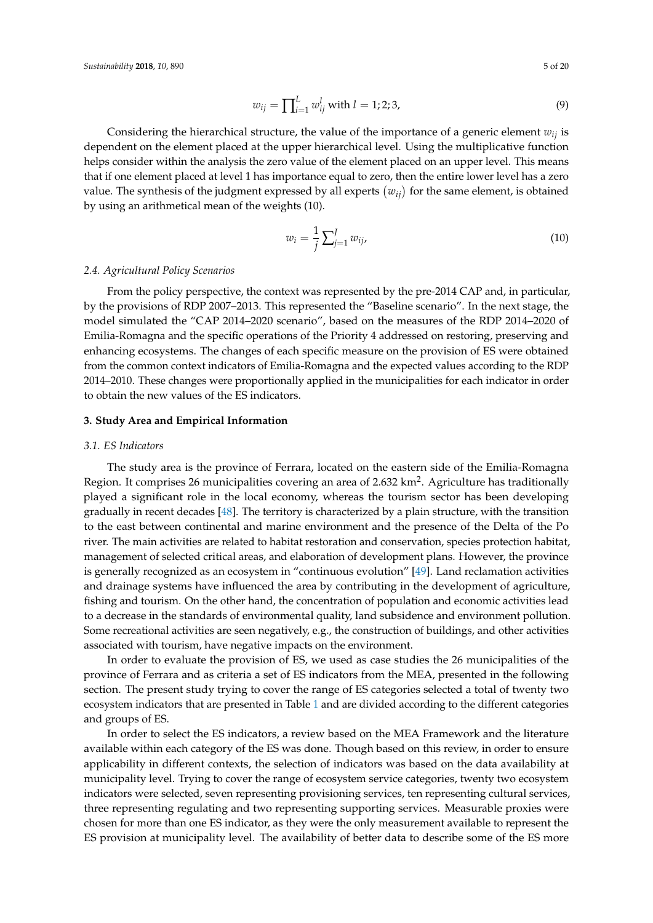$$
w_{ij} = \prod_{i=1}^{L} w_{ij}^{l} \text{ with } l = 1; 2; 3,
$$
\n(9)

Considering the hierarchical structure, the value of the importance of a generic element *wij* is dependent on the element placed at the upper hierarchical level. Using the multiplicative function helps consider within the analysis the zero value of the element placed on an upper level. This means that if one element placed at level 1 has importance equal to zero, then the entire lower level has a zero value. The synthesis of the judgment expressed by all experts  $(w_{ij})$  for the same element, is obtained by using an arithmetical mean of the weights (10).

$$
w_i = \frac{1}{j} \sum_{j=1}^{J} w_{ij},
$$
\n(10)

#### *2.4. Agricultural Policy Scenarios*

From the policy perspective, the context was represented by the pre-2014 CAP and, in particular, by the provisions of RDP 2007–2013. This represented the "Baseline scenario". In the next stage, the model simulated the "CAP 2014–2020 scenario", based on the measures of the RDP 2014–2020 of Emilia-Romagna and the specific operations of the Priority 4 addressed on restoring, preserving and enhancing ecosystems. The changes of each specific measure on the provision of ES were obtained from the common context indicators of Emilia-Romagna and the expected values according to the RDP 2014–2010. These changes were proportionally applied in the municipalities for each indicator in order to obtain the new values of the ES indicators.

#### <span id="page-4-0"></span>**3. Study Area and Empirical Information**

#### *3.1. ES Indicators*

The study area is the province of Ferrara, located on the eastern side of the Emilia-Romagna Region. It comprises 26 municipalities covering an area of 2.632 km<sup>2</sup>. Agriculture has traditionally played a significant role in the local economy, whereas the tourism sector has been developing gradually in recent decades [\[48\]](#page-19-1). The territory is characterized by a plain structure, with the transition to the east between continental and marine environment and the presence of the Delta of the Po river. The main activities are related to habitat restoration and conservation, species protection habitat, management of selected critical areas, and elaboration of development plans. However, the province is generally recognized as an ecosystem in "continuous evolution" [\[49\]](#page-19-2). Land reclamation activities and drainage systems have influenced the area by contributing in the development of agriculture, fishing and tourism. On the other hand, the concentration of population and economic activities lead to a decrease in the standards of environmental quality, land subsidence and environment pollution. Some recreational activities are seen negatively, e.g., the construction of buildings, and other activities associated with tourism, have negative impacts on the environment.

In order to evaluate the provision of ES, we used as case studies the 26 municipalities of the province of Ferrara and as criteria a set of ES indicators from the MEA, presented in the following section. The present study trying to cover the range of ES categories selected a total of twenty two ecosystem indicators that are presented in Table [1](#page-5-0) and are divided according to the different categories and groups of ES.

In order to select the ES indicators, a review based on the MEA Framework and the literature available within each category of the ES was done. Though based on this review, in order to ensure applicability in different contexts, the selection of indicators was based on the data availability at municipality level. Trying to cover the range of ecosystem service categories, twenty two ecosystem indicators were selected, seven representing provisioning services, ten representing cultural services, three representing regulating and two representing supporting services. Measurable proxies were chosen for more than one ES indicator, as they were the only measurement available to represent the ES provision at municipality level. The availability of better data to describe some of the ES more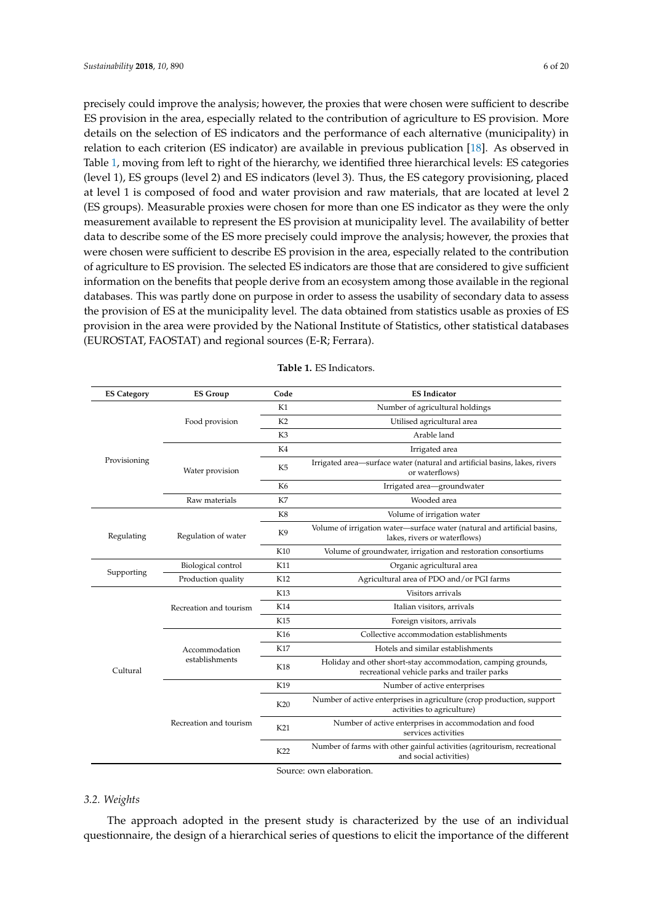precisely could improve the analysis; however, the proxies that were chosen were sufficient to describe ES provision in the area, especially related to the contribution of agriculture to ES provision. More details on the selection of ES indicators and the performance of each alternative (municipality) in relation to each criterion (ES indicator) are available in previous publication [\[18\]](#page-17-17). As observed in Table [1,](#page-5-0) moving from left to right of the hierarchy, we identified three hierarchical levels: ES categories (level 1), ES groups (level 2) and ES indicators (level 3). Thus, the ES category provisioning, placed at level 1 is composed of food and water provision and raw materials, that are located at level 2 (ES groups). Measurable proxies were chosen for more than one ES indicator as they were the only measurement available to represent the ES provision at municipality level. The availability of better data to describe some of the ES more precisely could improve the analysis; however, the proxies that were chosen were sufficient to describe ES provision in the area, especially related to the contribution of agriculture to ES provision. The selected ES indicators are those that are considered to give sufficient information on the benefits that people derive from an ecosystem among those available in the regional databases. This was partly done on purpose in order to assess the usability of secondary data to assess the provision of ES at the municipality level. The data obtained from statistics usable as proxies of ES provision in the area were provided by the National Institute of Statistics, other statistical databases (EUROSTAT, FAOSTAT) and regional sources (E-R; Ferrara).

<span id="page-5-0"></span>

| <b>ES Category</b> | <b>ES Group</b>        | Code           | <b>ES Indicator</b>                                                                                          |
|--------------------|------------------------|----------------|--------------------------------------------------------------------------------------------------------------|
|                    |                        | K1             | Number of agricultural holdings                                                                              |
|                    | Food provision         | K <sub>2</sub> | Utilised agricultural area                                                                                   |
|                    |                        | K <sub>3</sub> | Arable land                                                                                                  |
|                    |                        | K4             | Irrigated area                                                                                               |
| Provisioning       | Water provision        | K5             | Irrigated area-surface water (natural and artificial basins, lakes, rivers<br>or waterflows)                 |
|                    |                        | K6             | Irrigated area-groundwater                                                                                   |
|                    | Raw materials          | K7             | Wooded area                                                                                                  |
|                    |                        | K8             | Volume of irrigation water                                                                                   |
| Regulating         | Regulation of water    | K <sub>9</sub> | Volume of irrigation water-surface water (natural and artificial basins,<br>lakes, rivers or waterflows)     |
|                    |                        | K10            | Volume of groundwater, irrigation and restoration consortiums                                                |
|                    | Biological control     | K11            | Organic agricultural area                                                                                    |
| Supporting         | Production quality     | K12            | Agricultural area of PDO and/or PGI farms                                                                    |
|                    |                        | K13            | Visitors arrivals                                                                                            |
|                    | Recreation and tourism | K14            | Italian visitors, arrivals                                                                                   |
|                    |                        | K15            | Foreign visitors, arrivals                                                                                   |
|                    |                        | K16            | Collective accommodation establishments                                                                      |
|                    | Accommodation          | K17            | Hotels and similar establishments                                                                            |
| Cultural           | establishments         | <b>K18</b>     | Holiday and other short-stay accommodation, camping grounds,<br>recreational vehicle parks and trailer parks |
|                    |                        | K19            | Number of active enterprises                                                                                 |
|                    |                        | K20            | Number of active enterprises in agriculture (crop production, support<br>activities to agriculture)          |
|                    | Recreation and tourism | K21            | Number of active enterprises in accommodation and food<br>services activities                                |
|                    |                        | K22            | Number of farms with other gainful activities (agritourism, recreational<br>and social activities)           |
|                    |                        |                | Source: own elaboration.                                                                                     |

**Table 1.** ES Indicators.

#### *3.2. Weights*

The approach adopted in the present study is characterized by the use of an individual questionnaire, the design of a hierarchical series of questions to elicit the importance of the different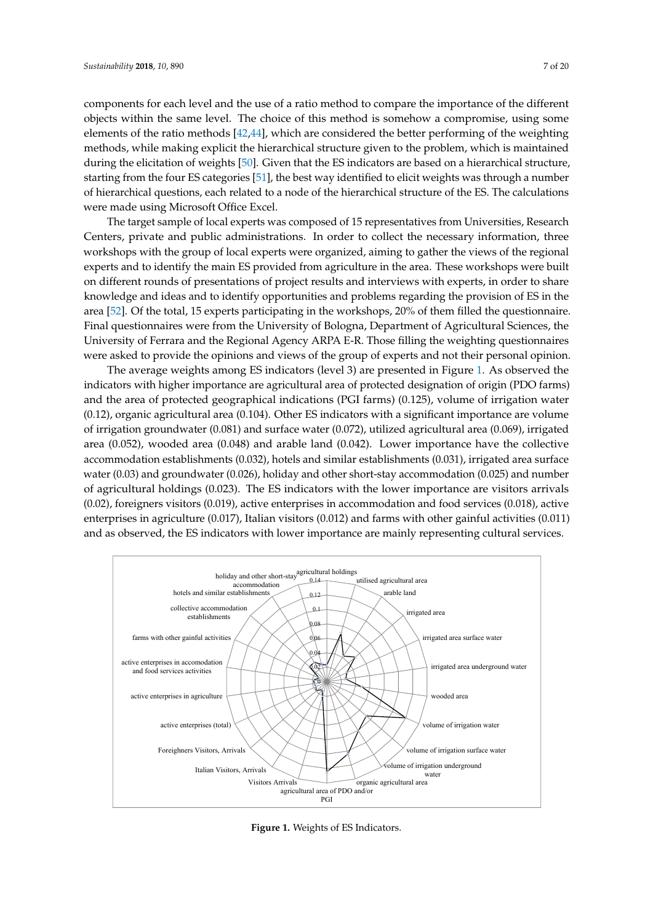components for each level and the use of a ratio method to compare the importance of the different *bijects within the same level. The choice of this method is somehow a compromise, using some* elements of the ratio methods [\[42,](#page-18-17)[44\]](#page-18-19), which are considered the better performing of the weighting methods, while making explicit the hierarchical structure given to the problem, which is maintained methods, while making explicit the hierarchical structure given to the problem, which is maintained during the elicitation of weights [\[50\]](#page-19-3). Given that the ES indicators are based on a hierarchical structure, during the elicitation of weights [50]. Given that the ES indicators are based on a hierarchical starting from the four ES categories [\[51\]](#page-19-4), the best way identified to elicit weights was through a number of hierarchical questions, each related to a node of the hierarchical structure of the ES. The calculations were made using Microsoft Office Excel. Estatement questions) such remised to a node of the members.

The target sample of local experts was composed of 15 representatives from Universities, Research The target sample of local experts was composed of 15 representatives from Universities, Centers, private and public administrations. In order to collect the necessary information, three workshops with the group of local experts were organized, aiming to gather the views of the regional experts and to identify the main ES provided from agriculture in the area. These workshops were built on different rounds of presentations of project results and interviews with experts, in order to share knowledge and ideas and to identify opportunities and problems regarding the provision of ES in the area [\[52\]](#page-19-5). Of the total, 15 experts participating in the workshops, 20% of them filled the questionnaire. Final questionnaires were from the University of Bologna, Department of Agricultural Sciences, the University of Ferrara and the Regional Agency ARPA E-R. Those filling the weighting questionnaires were asked to provide the opinions and views of the group of experts and not their personal opinion. personal opinion. The target sample of focal experts was composed of 15 representatives from entiversities, research

The average weights among ES indicators (level 3) are presented in Figure [1.](#page-6-0) As observed the The average weights among ES indicators (level 3) are presented in Figure 1. As observed the indicators with higher importance are agricultural area of protected designation of origin (PDO farms) indicators with higher importance are agricultural area of protected designation of origin (PDO and the area of protected geographical indications (PGI farms) (0.125), volume of irrigation water (0.12), organic agricultural area (0.104). Other ES indicators with a significant importance are volume of irrigation groundwater (0.081) and surface water (0.072), utilized agricultural area (0.069), irrigated area  $(0.052)$ , wooded area  $(0.048)$  and arable land  $(0.042)$ . Lower importance have the collective accommodation establishments (0.032), hotels and similar establishments (0.031), irrigated area surface water (0.03) and groundwater (0.026), holiday and other short-stay accommodation (0.025) and number water (0.03) of agricultural holdings (0.023). The ES indicators with the lower importance are visitors arrivals (0.02), foreigners visitors (0.019), active enterprises in accommodation and food services (0.018), active<br>Services (0.018), Italian visitors (0.017), Italian visitors with other with other with other with other with enterprises in agriculture ( $0.017$ ), Italian visitors ( $0.012$ ) and farms with other gainful activities ( $0.011$ ) and as observed, the ES indicators with lower importance are mainly representing cultural services. visitors arrived (0.02), the EU marchaeos with the lower importance are visitors arrived

<span id="page-6-0"></span>

**Figure 1.** Weights of ES Indicators. **Figure 1.** Weights of ES Indicators.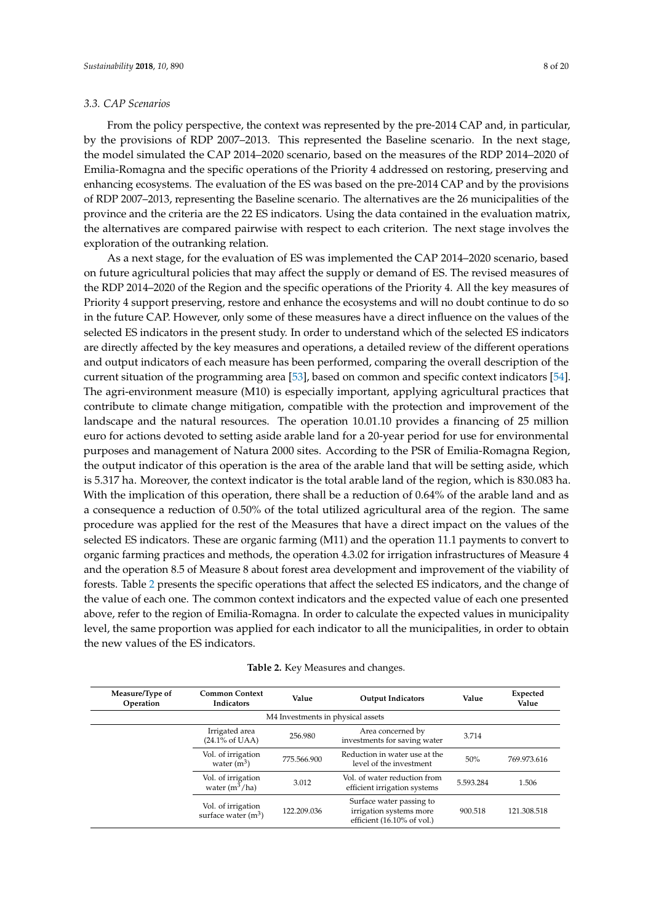#### *3.3. CAP Scenarios*

From the policy perspective, the context was represented by the pre-2014 CAP and, in particular, by the provisions of RDP 2007–2013. This represented the Baseline scenario. In the next stage, the model simulated the CAP 2014–2020 scenario, based on the measures of the RDP 2014–2020 of Emilia-Romagna and the specific operations of the Priority 4 addressed on restoring, preserving and enhancing ecosystems. The evaluation of the ES was based on the pre-2014 CAP and by the provisions of RDP 2007–2013, representing the Baseline scenario. The alternatives are the 26 municipalities of the province and the criteria are the 22 ES indicators. Using the data contained in the evaluation matrix, the alternatives are compared pairwise with respect to each criterion. The next stage involves the exploration of the outranking relation.

As a next stage, for the evaluation of ES was implemented the CAP 2014–2020 scenario, based on future agricultural policies that may affect the supply or demand of ES. The revised measures of the RDP 2014–2020 of the Region and the specific operations of the Priority 4. All the key measures of Priority 4 support preserving, restore and enhance the ecosystems and will no doubt continue to do so in the future CAP. However, only some of these measures have a direct influence on the values of the selected ES indicators in the present study. In order to understand which of the selected ES indicators are directly affected by the key measures and operations, a detailed review of the different operations and output indicators of each measure has been performed, comparing the overall description of the current situation of the programming area [\[53\]](#page-19-6), based on common and specific context indicators [\[54\]](#page-19-7). The agri-environment measure (M10) is especially important, applying agricultural practices that contribute to climate change mitigation, compatible with the protection and improvement of the landscape and the natural resources. The operation 10.01.10 provides a financing of 25 million euro for actions devoted to setting aside arable land for a 20-year period for use for environmental purposes and management of Natura 2000 sites. According to the PSR of Emilia-Romagna Region, the output indicator of this operation is the area of the arable land that will be setting aside, which is 5.317 ha. Moreover, the context indicator is the total arable land of the region, which is 830.083 ha. With the implication of this operation, there shall be a reduction of 0.64% of the arable land and as a consequence a reduction of 0.50% of the total utilized agricultural area of the region. The same procedure was applied for the rest of the Measures that have a direct impact on the values of the selected ES indicators. These are organic farming (M11) and the operation 11.1 payments to convert to organic farming practices and methods, the operation 4.3.02 for irrigation infrastructures of Measure 4 and the operation 8.5 of Measure 8 about forest area development and improvement of the viability of forests. Table [2](#page-8-1) presents the specific operations that affect the selected ES indicators, and the change of the value of each one. The common context indicators and the expected value of each one presented above, refer to the region of Emilia-Romagna. In order to calculate the expected values in municipality level, the same proportion was applied for each indicator to all the municipalities, in order to obtain the new values of the ES indicators.

| Table 2. Key Measures and changes. |  |  |  |  |
|------------------------------------|--|--|--|--|
|------------------------------------|--|--|--|--|

| Measure/Type of<br>Operation | <b>Common Context</b><br>Indicators          | Value                             | <b>Output Indicators</b>                                                          | Value     | Expected<br>Value |
|------------------------------|----------------------------------------------|-----------------------------------|-----------------------------------------------------------------------------------|-----------|-------------------|
|                              |                                              | M4 Investments in physical assets |                                                                                   |           |                   |
|                              | Irrigated area<br>$(24.1\% \text{ of } UAA)$ | 256.980                           | Area concerned by<br>investments for saving water                                 | 3.714     |                   |
|                              | Vol. of irrigation<br>water $(m^3)$          | 775.566.900                       | Reduction in water use at the<br>level of the investment                          | 50%       | 769.973.616       |
|                              | Vol. of irrigation<br>water $(m^3/ha)$       | 3.012                             | Vol. of water reduction from<br>efficient irrigation systems                      | 5.593.284 | 1.506             |
|                              | Vol. of irrigation<br>surface water $(m^3)$  | 122.209.036                       | Surface water passing to<br>irrigation systems more<br>efficient (16.10% of vol.) | 900.518   | 121.308.518       |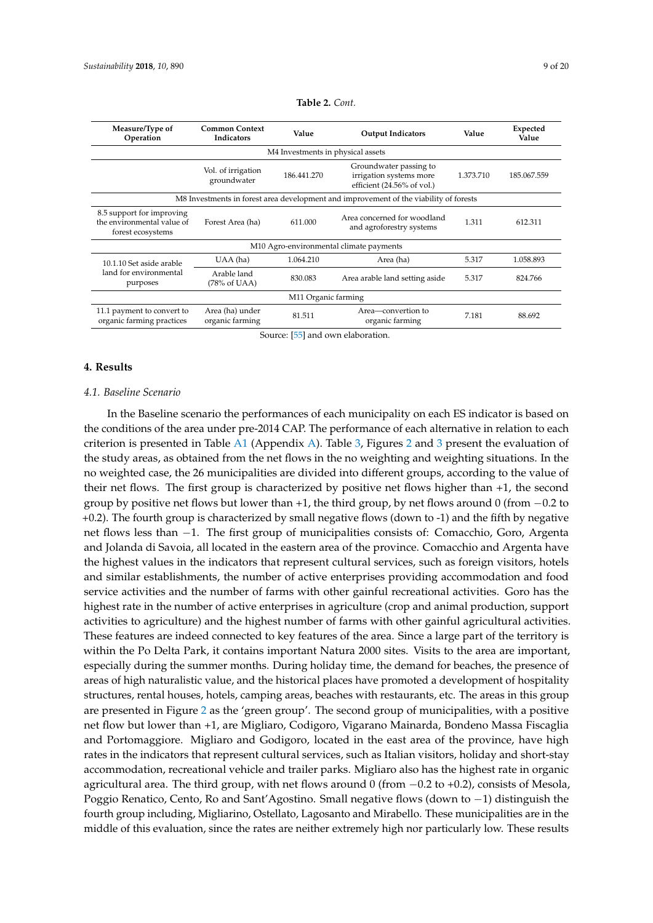|  |  | $\overline{2}$ VI |
|--|--|-------------------|
|  |  |                   |
|  |  |                   |
|  |  |                   |

<span id="page-8-1"></span>

| Measure/Type of<br>Operation                                                          | <b>Common Context</b><br><b>Indicators</b> | Value               | <b>Output Indicators</b>                                                        | Value     | Expected<br>Value |  |  |  |  |  |  |  |
|---------------------------------------------------------------------------------------|--------------------------------------------|---------------------|---------------------------------------------------------------------------------|-----------|-------------------|--|--|--|--|--|--|--|
| M4 Investments in physical assets                                                     |                                            |                     |                                                                                 |           |                   |  |  |  |  |  |  |  |
|                                                                                       | Vol. of irrigation<br>groundwater          | 186.441.270         | Groundwater passing to<br>irrigation systems more<br>efficient (24.56% of vol.) | 1.373.710 | 185.067.559       |  |  |  |  |  |  |  |
| M8 Investments in forest area development and improvement of the viability of forests |                                            |                     |                                                                                 |           |                   |  |  |  |  |  |  |  |
| 8.5 support for improving<br>the environmental value of<br>forest ecosystems          | Forest Area (ha)                           | 611.000             | Area concerned for woodland<br>and agroforestry systems                         | 1.311     | 612.311           |  |  |  |  |  |  |  |
|                                                                                       |                                            |                     | M10 Agro-environmental climate payments                                         |           |                   |  |  |  |  |  |  |  |
| 10.1.10 Set aside arable                                                              | UAA (ha)                                   | 1.064.210           | Area (ha)                                                                       | 5.317     | 1.058.893         |  |  |  |  |  |  |  |
| land for environmental<br>purposes                                                    | Arable land<br>(78% of UAA)                | 830.083             | Area arable land setting aside                                                  | 5.317     | 824.766           |  |  |  |  |  |  |  |
|                                                                                       |                                            | M11 Organic farming |                                                                                 |           |                   |  |  |  |  |  |  |  |
| 11.1 payment to convert to<br>organic farming practices                               | Area (ha) under<br>organic farming         | 81.511              | Area—convertion to<br>organic farming                                           | 7.181     | 88.692            |  |  |  |  |  |  |  |

| Table 2. Cont. |  |  |
|----------------|--|--|
|----------------|--|--|

Source: [\[55\]](#page-19-8) and own elaboration.

#### <span id="page-8-0"></span>**4. Results**

#### *4.1. Baseline Scenario*

In the Baseline scenario the performances of each municipality on each ES indicator is based on the conditions of the area under pre-2014 CAP. The performance of each alternative in relation to each criterion is presented in Table [A1](#page-15-0) (Appendix [A\)](#page-15-1). Table [3,](#page-9-0) Figures [2](#page-10-0) and [3](#page-11-0) present the evaluation of the study areas, as obtained from the net flows in the no weighting and weighting situations. In the no weighted case, the 26 municipalities are divided into different groups, according to the value of their net flows. The first group is characterized by positive net flows higher than +1, the second group by positive net flows but lower than +1, the third group, by net flows around 0 (from −0.2 to +0.2). The fourth group is characterized by small negative flows (down to -1) and the fifth by negative net flows less than −1. The first group of municipalities consists of: Comacchio, Goro, Argenta and Jolanda di Savoia, all located in the eastern area of the province. Comacchio and Argenta have the highest values in the indicators that represent cultural services, such as foreign visitors, hotels and similar establishments, the number of active enterprises providing accommodation and food service activities and the number of farms with other gainful recreational activities. Goro has the highest rate in the number of active enterprises in agriculture (crop and animal production, support activities to agriculture) and the highest number of farms with other gainful agricultural activities. These features are indeed connected to key features of the area. Since a large part of the territory is within the Po Delta Park, it contains important Natura 2000 sites. Visits to the area are important, especially during the summer months. During holiday time, the demand for beaches, the presence of areas of high naturalistic value, and the historical places have promoted a development of hospitality structures, rental houses, hotels, camping areas, beaches with restaurants, etc. The areas in this group are presented in Figure [2](#page-10-0) as the 'green group'. The second group of municipalities, with a positive net flow but lower than +1, are Migliaro, Codigoro, Vigarano Mainarda, Bondeno Massa Fiscaglia and Portomaggiore. Migliaro and Godigoro, located in the east area of the province, have high rates in the indicators that represent cultural services, such as Italian visitors, holiday and short-stay accommodation, recreational vehicle and trailer parks. Migliaro also has the highest rate in organic agricultural area. The third group, with net flows around 0 (from −0.2 to +0.2), consists of Mesola, Poggio Renatico, Cento, Ro and Sant'Agostino. Small negative flows (down to −1) distinguish the fourth group including, Migliarino, Ostellato, Lagosanto and Mirabello. These municipalities are in the middle of this evaluation, since the rates are neither extremely high nor particularly low. These results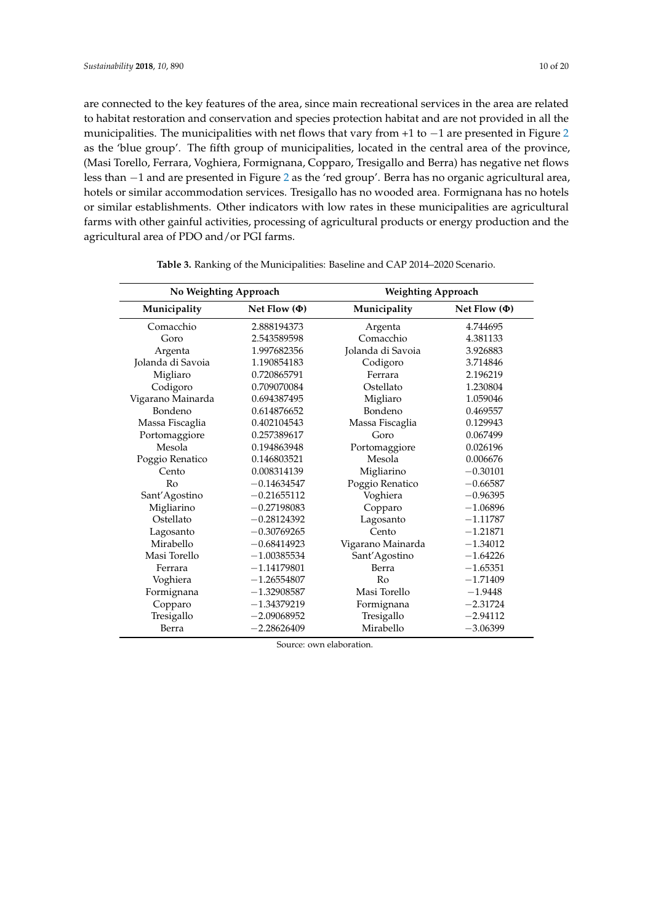are connected to the key features of the area, since main recreational services in the area are related to habitat restoration and conservation and species protection habitat and are not provided in all the municipalities. The municipalities with net flows that vary from +1 to −1 are presented in Figure [2](#page-10-0) as the 'blue group'. The fifth group of municipalities, located in the central area of the province, (Masi Torello, Ferrara, Voghiera, Formignana, Copparo, Tresigallo and Berra) has negative net flows less than −1 and are presented in Figure [2](#page-10-0) as the 'red group'. Berra has no organic agricultural area, hotels or similar accommodation services. Tresigallo has no wooded area. Formignana has no hotels or similar establishments. Other indicators with low rates in these municipalities are agricultural farms with other gainful activities, processing of agricultural products or energy production and the agricultural area of PDO and/or PGI farms.

<span id="page-9-0"></span>

| No Weighting Approach |                   | <b>Weighting Approach</b> |                   |
|-----------------------|-------------------|---------------------------|-------------------|
| Municipality          | Net Flow $(\Phi)$ | Municipality              | Net Flow $(\Phi)$ |
| Comacchio             | 2.888194373       | Argenta                   | 4.744695          |
| Goro                  | 2.543589598       | Comacchio                 | 4.381133          |
| Argenta               | 1.997682356       | Jolanda di Savoia         | 3.926883          |
| Jolanda di Savoia     | 1.190854183       | Codigoro                  | 3.714846          |
| Migliaro              | 0.720865791       | Ferrara                   | 2.196219          |
| Codigoro              | 0.709070084       | Ostellato                 | 1.230804          |
| Vigarano Mainarda     | 0.694387495       | Migliaro                  | 1.059046          |
| Bondeno               | 0.614876652       | Bondeno                   | 0.469557          |
| Massa Fiscaglia       | 0.402104543       | Massa Fiscaglia           | 0.129943          |
| Portomaggiore         | 0.257389617       | Goro                      | 0.067499          |
| Mesola                | 0.194863948       | Portomaggiore             | 0.026196          |
| Poggio Renatico       | 0.146803521       | Mesola                    | 0.006676          |
| Cento                 | 0.008314139       | Migliarino                | $-0.30101$        |
| Ro                    | $-0.14634547$     | Poggio Renatico           | $-0.66587$        |
| Sant'Agostino         | $-0.21655112$     | Voghiera                  | $-0.96395$        |
| Migliarino            | $-0.27198083$     | Copparo                   | $-1.06896$        |
| Ostellato             | $-0.28124392$     | Lagosanto                 | $-1.11787$        |
| Lagosanto             | $-0.30769265$     | Cento                     | $-1.21871$        |
| Mirabello             | $-0.68414923$     | Vigarano Mainarda         | $-1.34012$        |
| Masi Torello          | $-1.00385534$     | Sant'Agostino             | $-1.64226$        |
| Ferrara               | $-1.14179801$     | Berra                     | $-1.65351$        |
| Voghiera              | $-1.26554807$     | Ro                        | $-1.71409$        |
| Formignana            | $-1.32908587$     | Masi Torello              | $-1.9448$         |
| Copparo               | $-1.34379219$     | Formignana                | $-2.31724$        |
| Tresigallo            | $-2.09068952$     | Tresigallo                | $-2.94112$        |
| Berra                 | $-2.28626409$     | Mirabello                 | $-3.06399$        |

**Table 3.** Ranking of the Municipalities: Baseline and CAP 2014–2020 Scenario.

Source: own elaboration.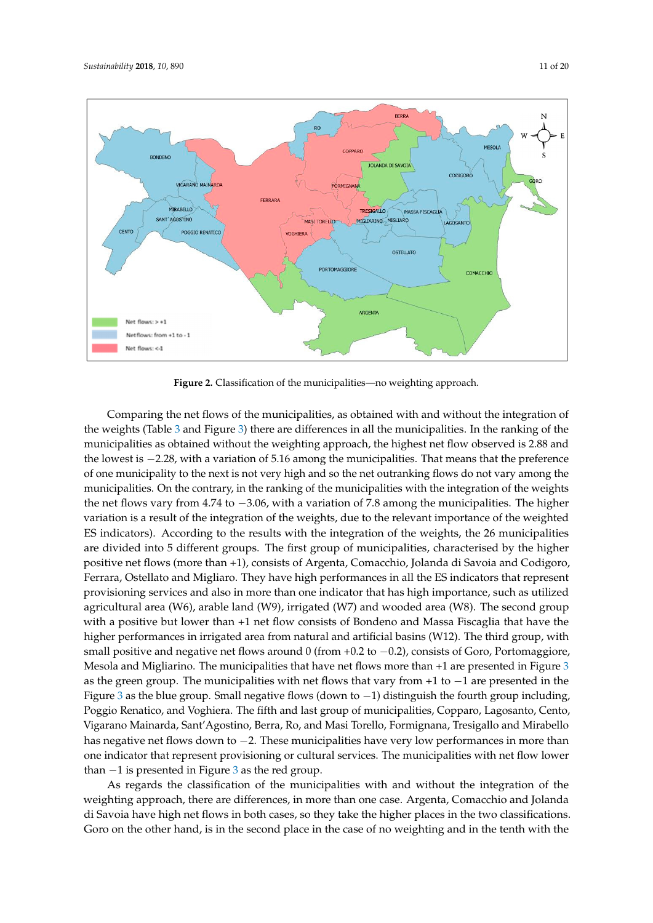<span id="page-10-0"></span>

**Figure 2.** Classification of the municipalities—no weighting approach. **Figure 2.** Classification of the municipalities—no weighting approach.

Comparing the net flows of the municipalities, as obtained with and without the integration of Comparing the net flows of the municipalities, as obtained with and without the integration of  $\frac{1}{\sqrt{2}}$ the weights (Table [3](#page-9-0) and Figure [3\)](#page-11-0) there are differences in all the municipalities. In the ranking of the municipalities as obtained without the weighting approach, the highest net flow observed is 2.88 and the lowest is −2.28, with a variation of 5.16 among the municipalities. That means that the preference of one municipality to the next is not very high and so the net outranking flows do not vary among the municipalities. On the contrary, in the ranking of the municipalities with the integration of the weights the net flows vary from 4.74 to  $-3.06$ , with a variation of 7.8 among the municipalities. The higher variation is a result of the integration of the weights, due to the relevant importance of the weighted ES indicators). According to the results with the integration of the weights, the 26 municipalities are divided into 5 different groups. The first group of municipalities, characterised by the higher positive net flows (more than +1), consists of Argenta, Comacchio, Jolanda di Savoia and Codigoro,<br>-Ferrara, Ostellato and Migliaro. They have high performances in all the ES indicators that represent provisioning services and also in more than one indicator that has high importance, such as utilized provisioning services and also in more than one indicator that has high importance, such as utilized agricultural area (W6), arable land (W9), irrigated (W7) and wooded area (W8). The second group with a positive but lower than +1 net flow consists of Bondeno and Massa Fiscaglia that have the higher performances in irrigated area from natural and artificial basins (W12). The third group, with higher p small positive and negative net flows around 0 (from +0.2 to  $-0.2$ ), consists of Goro, Portomaggiore, Mesola and Migliarino. The municipalities that have net flows more than +1 are presented in Figure [3](#page-11-0) as the green group. The municipalities with net flows that vary from +1 to −1 are presented in the Figure 3 as the blue [g](#page-11-0)roup. Small negative flows (down to −1) distinguish the fourth group including,  $\frac{1}{2}$ Copparo, Lagosanto, Cento, Vigarano Mainarda, Sant'Agostino, Berra, Ro, and Masi Torello, Poggio Renatico, and Voghiera. The fifth and last group of municipalities, Copparo, Lagosanto, Cento, Vigarano Mainarda, Sant'Agostino, Berra, Ro, and Masi Torello, Formignana, Tresigallo and Mirabello<br>. has negative net flows down to  $-2$ . These municipalities have very low performances in more than one indicator that represent provisioning or cultural services. The municipalities with net flow lower than −1 is presented in Figure 3 as the red group.

As regards the classification of the municipalities with and without the integration of the weighting approach, there are differences, in more than one case. Argenta, Comacchio and Jolanda di Savoia have high net flows in both cases, so they take the higher places in the two classifications. Goro on the other hand, is in the second place in the case of no weighting and in the tenth with the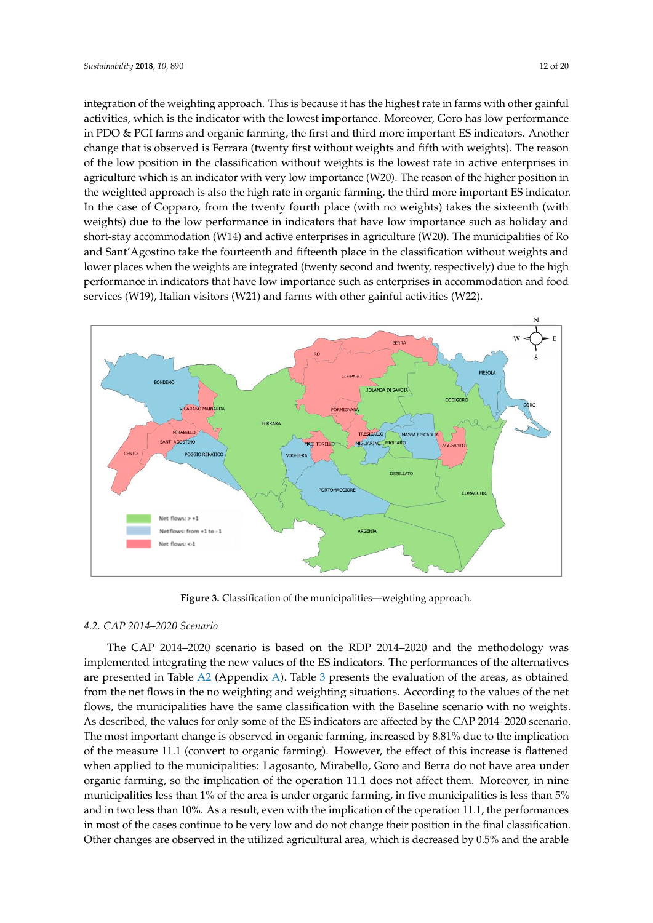integration of the weighting approach. This is because it has the highest rate in farms with other gainful activities, which is the indicator with the lowest importance. Moreover, Goro has low performance in PDO & PGI farms and organic farming, the first and third more important ES indicators. Another change that is observed is Ferrara (twenty first without weights and fifth with weights). The reason of the low position in the classification without weights is the lowest rate in active enterprises in agriculture which is an indicator with very low importance (W20). The reason of the higher position in the weighted approach is also the high rate in organic farming, the third more important ES indicator. In the case of Copparo, from the twenty fourth place (with no weights) takes the sixteenth (with weights) due to the low performance in indicators that have low importance such as holiday and short-stay accommodation (W14) and active enterprises in agriculture (W20). The municipalities of Ro and Sant'Agostino take the fourteenth and fifteenth place in the classification without weights and lower places when the weights are integrated (twenty second and twenty, respectively) due to the high performance in indicators that have low importance such as enterprises in accommodation and food n<br>services (W19), Italian visitors (W21) and farms with other gainful activities (W22).

<span id="page-11-0"></span>

**Figure 3.** Classification of the municipalities—weighting approach. **Figure 3.** Classification of the municipalities—weighting approach.

# *4.2. CAP 2014–2020 Scenario 4.2. CAP 2014–2020 Scenario*

The CAP 2014–2020 scenario is based on the RDP 2014–2020 and the methodology was The CAP 2014–2020 scenario is based on the RDP 2014–2020 and the methodology was inc Can 2014 2020 seemant is based on the NPI 2014 2020 and the included by we implemented integrating the new values of the ES indicators. The performances of the alternatives are presented in Table [A2](#page-16-0) (Appendix [A\)](#page-15-1). Table [3](#page-9-0) presents the evaluation of the areas, as obtained from the net flows in the no weighting and weighting situations. According to the values of the net flows, the municipalities have the same classification with the Baseline scenario with no weights.<br> As described, the values for only some of the ES indicators are affected by the CAP 2014–2020 scenario. The most important change is observed in organic farming, increased by  $8.81\%$  due to the implication of the measure 11.1 (convert to organic farming). However, the effect of this increase is flattened when applied to the municipalities: Lagosanto, Mirabello, Goro and Berra do not have area under organic farming, so the implication of the operation 11.1 does not affect them. Moreover, in nine municipalities less than 1% of the area is under organic farming, in five municipalities is less than 5% and in two less than 10%. As a result, even with the implication of the operation 11.1, the performances in most of the cases continue to be very low and do not change their position in the final classification. Other changes are observed in the utilized agricultural area, which is decreased by 0.5% and the arable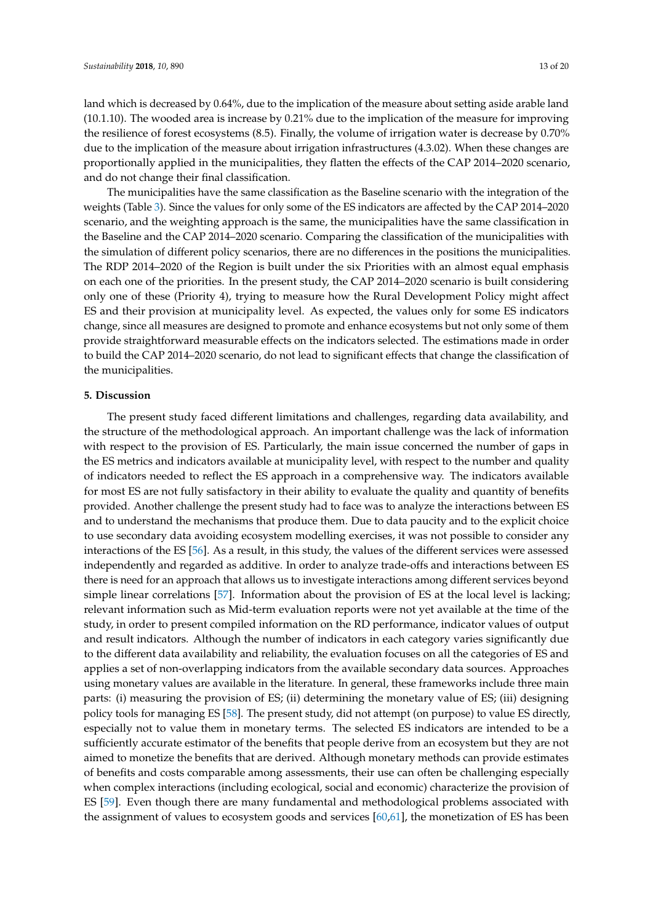land which is decreased by 0.64%, due to the implication of the measure about setting aside arable land (10.1.10). The wooded area is increase by 0.21% due to the implication of the measure for improving the resilience of forest ecosystems (8.5). Finally, the volume of irrigation water is decrease by 0.70% due to the implication of the measure about irrigation infrastructures (4.3.02). When these changes are proportionally applied in the municipalities, they flatten the effects of the CAP 2014–2020 scenario, and do not change their final classification.

The municipalities have the same classification as the Baseline scenario with the integration of the weights (Table [3\)](#page-9-0). Since the values for only some of the ES indicators are affected by the CAP 2014–2020 scenario, and the weighting approach is the same, the municipalities have the same classification in the Baseline and the CAP 2014–2020 scenario. Comparing the classification of the municipalities with the simulation of different policy scenarios, there are no differences in the positions the municipalities. The RDP 2014–2020 of the Region is built under the six Priorities with an almost equal emphasis on each one of the priorities. In the present study, the CAP 2014–2020 scenario is built considering only one of these (Priority 4), trying to measure how the Rural Development Policy might affect ES and their provision at municipality level. As expected, the values only for some ES indicators change, since all measures are designed to promote and enhance ecosystems but not only some of them provide straightforward measurable effects on the indicators selected. The estimations made in order to build the CAP 2014–2020 scenario, do not lead to significant effects that change the classification of the municipalities.

#### <span id="page-12-0"></span>**5. Discussion**

The present study faced different limitations and challenges, regarding data availability, and the structure of the methodological approach. An important challenge was the lack of information with respect to the provision of ES. Particularly, the main issue concerned the number of gaps in the ES metrics and indicators available at municipality level, with respect to the number and quality of indicators needed to reflect the ES approach in a comprehensive way. The indicators available for most ES are not fully satisfactory in their ability to evaluate the quality and quantity of benefits provided. Another challenge the present study had to face was to analyze the interactions between ES and to understand the mechanisms that produce them. Due to data paucity and to the explicit choice to use secondary data avoiding ecosystem modelling exercises, it was not possible to consider any interactions of the ES [\[56\]](#page-19-9). As a result, in this study, the values of the different services were assessed independently and regarded as additive. In order to analyze trade-offs and interactions between ES there is need for an approach that allows us to investigate interactions among different services beyond simple linear correlations [\[57\]](#page-19-10). Information about the provision of ES at the local level is lacking; relevant information such as Mid-term evaluation reports were not yet available at the time of the study, in order to present compiled information on the RD performance, indicator values of output and result indicators. Although the number of indicators in each category varies significantly due to the different data availability and reliability, the evaluation focuses on all the categories of ES and applies a set of non-overlapping indicators from the available secondary data sources. Approaches using monetary values are available in the literature. In general, these frameworks include three main parts: (i) measuring the provision of ES; (ii) determining the monetary value of ES; (iii) designing policy tools for managing ES [\[58\]](#page-19-11). The present study, did not attempt (on purpose) to value ES directly, especially not to value them in monetary terms. The selected ES indicators are intended to be a sufficiently accurate estimator of the benefits that people derive from an ecosystem but they are not aimed to monetize the benefits that are derived. Although monetary methods can provide estimates of benefits and costs comparable among assessments, their use can often be challenging especially when complex interactions (including ecological, social and economic) characterize the provision of ES [\[59\]](#page-19-12). Even though there are many fundamental and methodological problems associated with the assignment of values to ecosystem goods and services [\[60,](#page-19-13)[61\]](#page-19-14), the monetization of ES has been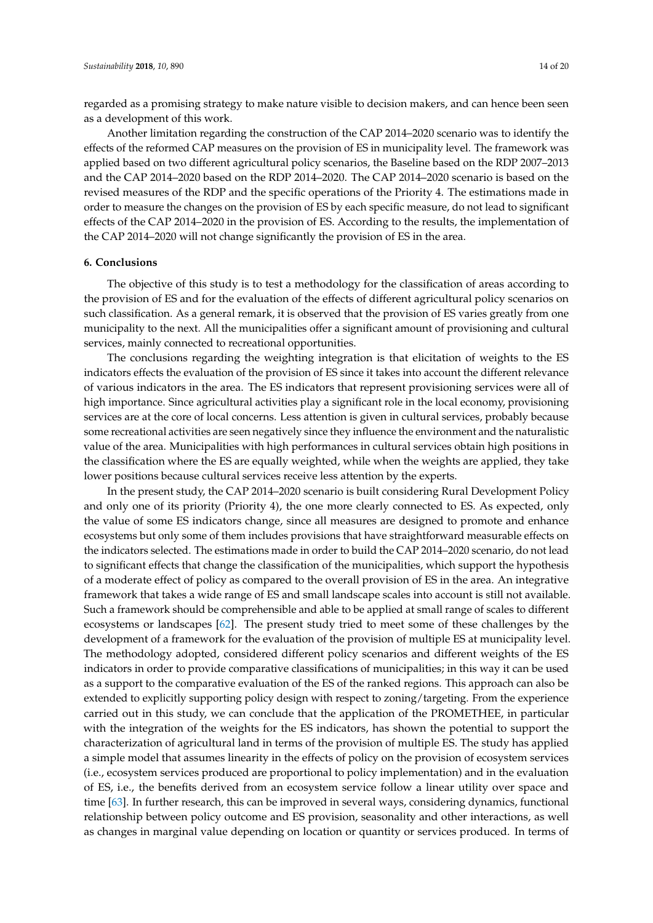regarded as a promising strategy to make nature visible to decision makers, and can hence been seen as a development of this work.

Another limitation regarding the construction of the CAP 2014–2020 scenario was to identify the effects of the reformed CAP measures on the provision of ES in municipality level. The framework was applied based on two different agricultural policy scenarios, the Baseline based on the RDP 2007–2013 and the CAP 2014–2020 based on the RDP 2014–2020. The CAP 2014–2020 scenario is based on the revised measures of the RDP and the specific operations of the Priority 4. The estimations made in order to measure the changes on the provision of ES by each specific measure, do not lead to significant effects of the CAP 2014–2020 in the provision of ES. According to the results, the implementation of the CAP 2014–2020 will not change significantly the provision of ES in the area.

#### <span id="page-13-0"></span>**6. Conclusions**

The objective of this study is to test a methodology for the classification of areas according to the provision of ES and for the evaluation of the effects of different agricultural policy scenarios on such classification. As a general remark, it is observed that the provision of ES varies greatly from one municipality to the next. All the municipalities offer a significant amount of provisioning and cultural services, mainly connected to recreational opportunities.

The conclusions regarding the weighting integration is that elicitation of weights to the ES indicators effects the evaluation of the provision of ES since it takes into account the different relevance of various indicators in the area. The ES indicators that represent provisioning services were all of high importance. Since agricultural activities play a significant role in the local economy, provisioning services are at the core of local concerns. Less attention is given in cultural services, probably because some recreational activities are seen negatively since they influence the environment and the naturalistic value of the area. Municipalities with high performances in cultural services obtain high positions in the classification where the ES are equally weighted, while when the weights are applied, they take lower positions because cultural services receive less attention by the experts.

In the present study, the CAP 2014–2020 scenario is built considering Rural Development Policy and only one of its priority (Priority 4), the one more clearly connected to ES. As expected, only the value of some ES indicators change, since all measures are designed to promote and enhance ecosystems but only some of them includes provisions that have straightforward measurable effects on the indicators selected. The estimations made in order to build the CAP 2014–2020 scenario, do not lead to significant effects that change the classification of the municipalities, which support the hypothesis of a moderate effect of policy as compared to the overall provision of ES in the area. An integrative framework that takes a wide range of ES and small landscape scales into account is still not available. Such a framework should be comprehensible and able to be applied at small range of scales to different ecosystems or landscapes [\[62\]](#page-19-15). The present study tried to meet some of these challenges by the development of a framework for the evaluation of the provision of multiple ES at municipality level. The methodology adopted, considered different policy scenarios and different weights of the ES indicators in order to provide comparative classifications of municipalities; in this way it can be used as a support to the comparative evaluation of the ES of the ranked regions. This approach can also be extended to explicitly supporting policy design with respect to zoning/targeting. From the experience carried out in this study, we can conclude that the application of the PROMETHEE, in particular with the integration of the weights for the ES indicators, has shown the potential to support the characterization of agricultural land in terms of the provision of multiple ES. The study has applied a simple model that assumes linearity in the effects of policy on the provision of ecosystem services (i.e., ecosystem services produced are proportional to policy implementation) and in the evaluation of ES, i.e., the benefits derived from an ecosystem service follow a linear utility over space and time [\[63\]](#page-19-16). In further research, this can be improved in several ways, considering dynamics, functional relationship between policy outcome and ES provision, seasonality and other interactions, as well as changes in marginal value depending on location or quantity or services produced. In terms of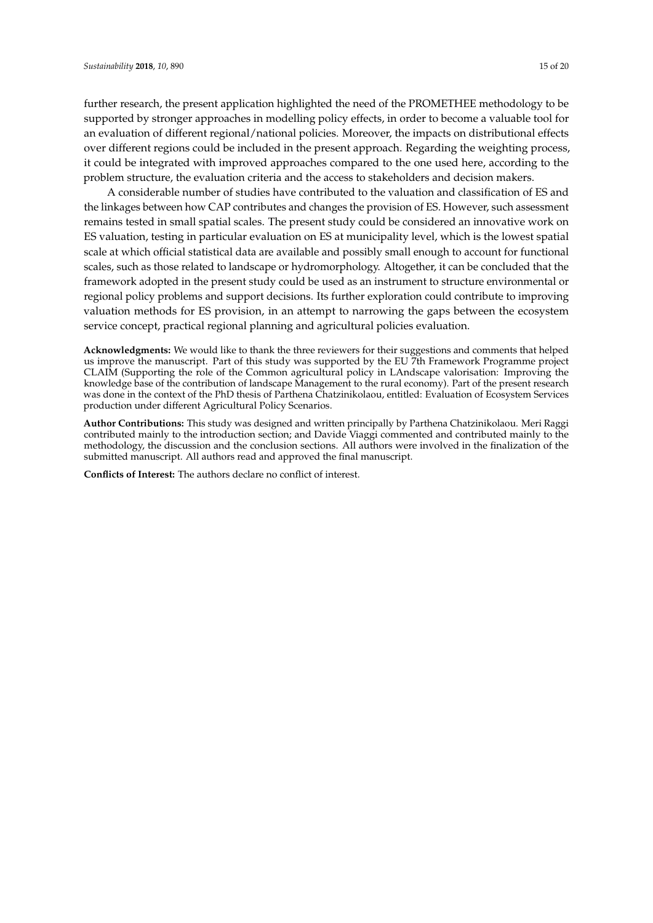further research, the present application highlighted the need of the PROMETHEE methodology to be supported by stronger approaches in modelling policy effects, in order to become a valuable tool for an evaluation of different regional/national policies. Moreover, the impacts on distributional effects over different regions could be included in the present approach. Regarding the weighting process, it could be integrated with improved approaches compared to the one used here, according to the problem structure, the evaluation criteria and the access to stakeholders and decision makers.

A considerable number of studies have contributed to the valuation and classification of ES and the linkages between how CAP contributes and changes the provision of ES. However, such assessment remains tested in small spatial scales. The present study could be considered an innovative work on ES valuation, testing in particular evaluation on ES at municipality level, which is the lowest spatial scale at which official statistical data are available and possibly small enough to account for functional scales, such as those related to landscape or hydromorphology. Altogether, it can be concluded that the framework adopted in the present study could be used as an instrument to structure environmental or regional policy problems and support decisions. Its further exploration could contribute to improving valuation methods for ES provision, in an attempt to narrowing the gaps between the ecosystem service concept, practical regional planning and agricultural policies evaluation.

**Acknowledgments:** We would like to thank the three reviewers for their suggestions and comments that helped us improve the manuscript. Part of this study was supported by the EU 7th Framework Programme project CLAIM (Supporting the role of the Common agricultural policy in LAndscape valorisation: Improving the knowledge base of the contribution of landscape Management to the rural economy). Part of the present research was done in the context of the PhD thesis of Parthena Chatzinikolaou, entitled: Evaluation of Ecosystem Services production under different Agricultural Policy Scenarios.

**Author Contributions:** This study was designed and written principally by Parthena Chatzinikolaou. Meri Raggi contributed mainly to the introduction section; and Davide Viaggi commented and contributed mainly to the methodology, the discussion and the conclusion sections. All authors were involved in the finalization of the submitted manuscript. All authors read and approved the final manuscript.

**Conflicts of Interest:** The authors declare no conflict of interest.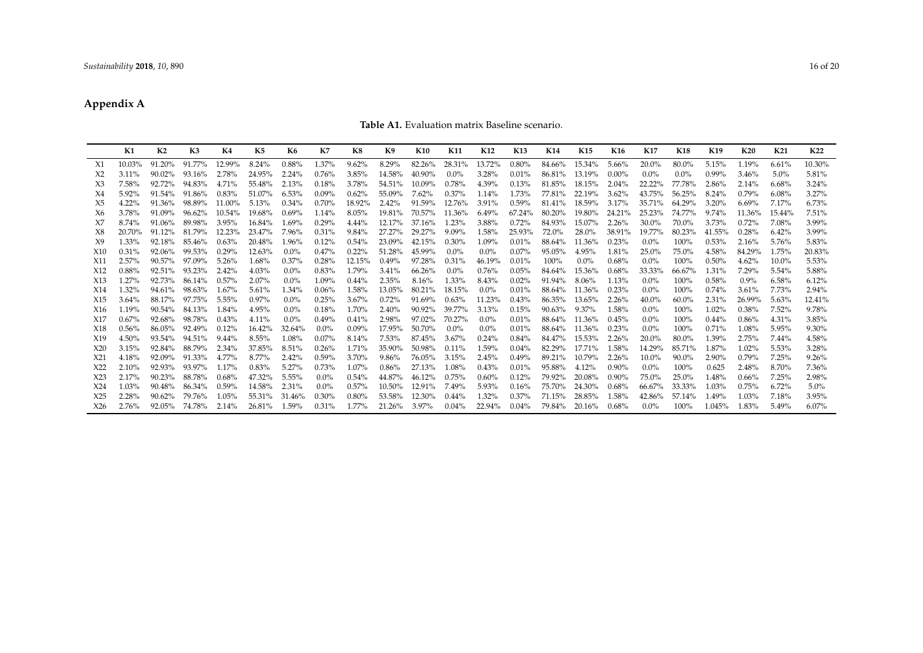## **Appendix A**

#### **Table A1.** Evaluation matrix Baseline scenario.

<span id="page-15-1"></span><span id="page-15-0"></span>

|                 | K1     | K <sub>2</sub> | K <sub>3</sub> | K4     | K5     | K6      | K7      | K8     | K9     | <b>K10</b> | K11      | K <sub>12</sub> | K <sub>13</sub> | K14    | K <sub>15</sub> | K <sub>16</sub> | K17     | K18      | K19      | <b>K20</b> | K21      | K22      |
|-----------------|--------|----------------|----------------|--------|--------|---------|---------|--------|--------|------------|----------|-----------------|-----------------|--------|-----------------|-----------------|---------|----------|----------|------------|----------|----------|
| X1              | 10.03% | 91.20%         | 91.77%         | 12.99% | 8.24%  | 0.88%   | 1.37%   | 9.62%  | 8.29%  | 82.26%     | 28.31%   | 13.72%          | 0.80%           | 84.66% | 15.34%          | 5.66%           | 20.0%   | 80.0%    | 5.15%    | 1.19%      | 6.61%    | 10.30%   |
| X <sub>2</sub>  | 3.11%  | 90.02%         | 93.16%         | 2.78%  | 24.95% | 2.24%   | 0.76%   | 3.85%  | 14.58% | 40.90%     | $0.0\%$  | 3.28%           | 0.01%           | 86.81% | 13.19%          | $0.00\%$        | $0.0\%$ | $0.0\%$  | 0.99%    | 3.46%      | 5.0%     | 5.81%    |
| X3              | 7.58%  | 92.72%         | 94.83%         | 4.71%  | 55.48% | 2.13%   | 0.18%   | 3.78%  | 54.51% | 10.09%     | 0.78%    | 4.39%           | 0.13%           | 81.85% | 18.15%          | 2.04%           | 22.22%  | 77.78%   | 2.86%    | 2.14%      | 6.68%    | 3.24%    |
| X4              | 5.92%  | 91.54%         | 91.86%         | 0.83%  | 51.07% | 6.53%   | 0.09%   | 0.62%  | 55.09% | 7.62%      | 0.37%    | 1.14%           | 1.73%           | 77.81% | 22.19%          | 3.62%           | 43.75%  | 56.25%   | 8.24%    | 0.79%      | 6.08%    | 3.27%    |
| X5              | 4.22%  | 91.36%         | 98.89%         | 11.00% | 5.13%  | 0.34%   | 0.70%   | 18.92% | 2.42%  | 91.59%     | 12.76%   | 3.91%           | 0.59%           | 81.41% | 18.59%          | 3.17%           | 35.71%  | 64.29%   | 3.20%    | 6.69%      | 7.17%    | 6.73%    |
| Х6              | 3.78%  | 91.09%         | 96.62%         | 10.54% | 19.68% | 0.69%   | 1.14%   | 8.05%  | 19.81% | 70.57%     | 11.36%   | 6.49%           | 67.24%          | 80.20% | 19.80%          | 24.21%          | 25.23%  | 74.77%   | 9.74%    | 11.36%     | 15.44%   | 7.51%    |
| X7              | 8.74%  | 91.06%         | 89.98%         | 3.95%  | 16.84% | 1.69%   | 0.29%   | 4.44%  | 12.17% | 37.16%     | 1.23%    | 3.88%           | 0.72%           | 84.93% | 15.07%          | 2.26%           | 30.0%   | 70.0%    | 3.73%    | 0.72%      | 7.08%    | 3.99%    |
| X8              | 20.70% | 91.12%         | 81.79%         | 12.23% | 23.47% | 7.96%   | 0.31%   | 9.84%  | 27.27% | 29.27%     | $9.09\%$ | 1.58%           | 25.93%          | 72.0%  | 28.0%           | 38.91%          | 19.77%  | 80.23%   | 41.55%   | 0.28%      | 6.42%    | 3.99%    |
| X9              | 1.33%  | 92.18%         | 85.46%         | 0.63%  | 20.48% | 1.96%   | 0.12%   | 0.54%  | 23.09% | 42.15%     | 0.30%    | 1.09%           | 0.01%           | 88.64% | 11.36%          | 0.23%           | $0.0\%$ | 100%     | 0.53%    | 2.16%      | 5.76%    | 5.83%    |
| X10             | 0.31%  | 92.06%         | 99.53%         | 0.29%  | 12.63% | $0.0\%$ | 0.47%   | 0.22%  | 51.28% | 45.99%     | $0.0\%$  | $0.0\%$         | 0.07%           | 95.05% | 4.95%           | 1.81%           | 25.0%   | 75.0%    | 4.58%    | 84.29%     | 1.75%    | 20.83%   |
| X11             | 2.57%  | 90.57%         | 97.09%         | 5.26%  | 1.68%  | 0.37%   | 0.28%   | 12.15% | 0.49%  | 97.28%     | 0.31%    | 46.19%          | 0.01%           | 100%   | $0.0\%$         | 0.68%           | $0.0\%$ | 100%     | 0.50%    | 4.62%      | 10.0%    | 5.53%    |
| X12             | 0.88%  | 92.51%         | 93.23%         | 2.42%  | 4.03%  | $0.0\%$ | 0.83%   | 1.79%  | 3.41%  | 66.26%     | $0.0\%$  | 0.76%           | 0.05%           | 84.64% | 15.36%          | 0.68%           | 33.33%  | 66.67%   | 1.31%    | 7.29%      | $5.54\%$ | 5.88%    |
| X13             | 1.27%  | 92.73%         | 86.14%         | 0.57%  | 2.07%  | $0.0\%$ | 1.09%   | 0.44%  | 2.35%  | 8.16%      | 1.33%    | 8.43%           | 0.02%           | 91.94% | $8.06\%$        | 1.13%           | $0.0\%$ | 100%     | 0.58%    | 0.9%       | 6.58%    | 6.12%    |
| X14             | 1.32%  | 94.61%         | 98.63%         | 1.67%  | 5.61%  | 1.34%   | 0.06%   | 1.58%  | 13.05% | 80.21%     | 18.15%   | $0.0\%$         | 0.01%           | 88.64% | 11.36%          | 0.23%           | $0.0\%$ | 100%     | 0.74%    | 3.61%      | 7.73%    | 2.94%    |
| X <sub>15</sub> | 3.64%  | 88.17%         | 97.75%         | 5.55%  | 0.97%  | $0.0\%$ | 0.25%   | 3.67%  | 0.72%  | 91.69%     | 0.63%    | 11.23%          | 0.43%           | 86.35% | 13.65%          | 2.26%           | 40.0%   | 60.0%    | 2.31%    | 26.99%     | 5.63%    | 12.41%   |
| X <sub>16</sub> | 1.19%  | $90.54\%$      | 84.13%         | 1.84%  | 4.95%  | $0.0\%$ | 0.18%   | 1.70%  | 2.40%  | 90.92%     | 39.77%   | 3.13%           | 0.15%           | 90.63% | 9.37%           | 1.58%           | $0.0\%$ | 100%     | 1.02%    | 0.38%      | 7.52%    | 9.78%    |
| X17             | 0.67%  | 92.68%         | 98.78%         | 0.43%  | 4.11%  | $0.0\%$ | 0.49%   | 0.41%  | 2.98%  | 97.02%     | 70.27%   | $0.0\%$         | 0.01%           | 88.64% | 11.36%          | 0.45%           | $0.0\%$ | 100%     | $0.44\%$ | 0.86%      | 4.31%    | 3.85%    |
| X18             | 0.56%  | 86.05%         | 92.49%         | 0.12%  | 16.42% | 32.64%  | $0.0\%$ | 0.09%  | 17.95% | 50.70%     | $0.0\%$  | $0.0\%$         | 0.01%           | 88.64% | 11.36%          | 0.23%           | $0.0\%$ | 100%     | 0.71%    | 1.08%      | 5.95%    | 9.30%    |
| X19             | 4.50%  | 93.54%         | 94.51%         | 9.44%  | 8.55%  | 1.08%   | 0.07%   | 8.14%  | 7.53%  | 87.45%     | 3.67%    | 0.24%           | 0.84%           | 84.47% | 15.53%          | 2.26%           | 20.0%   | 80.0%    | 1.39%    | 2.75%      | 7.44%    | 4.58%    |
| X <sub>20</sub> | 3.15%  | 92.84%         | 88.79%         | 2.34%  | 37.85% | 8.51%   | 0.26%   | 1.71%  | 35.90% | 50.98%     | 0.11%    | 1.59%           | 0.04%           | 82.29% | 17.71%          | 1.58%           | 14.29%  | 85.71%   | 1.87%    | 1.02%      | 5.53%    | 3.28%    |
| X21             | 4.18%  | 92.09%         | 91.33%         | 4.77%  | 8.77%  | 2.42%   | 0.59%   | 3.70%  | 9.86%  | 76.05%     | 3.15%    | 2.45%           | 0.49%           | 89.21% | 10.79%          | 2.26%           | 10.0%   | $90.0\%$ | 2.90%    | 0.79%      | 7.25%    | 9.26%    |
| X22             | 2.10%  | 92.93%         | 93.97%         | 1.17%  | 0.83%  | 5.27%   | 0.73%   | 1.07%  | 0.86%  | 27.13%     | 1.08%    | 0.43%           | 0.01%           | 95.88% | 4.12%           | 0.90%           | $0.0\%$ | 100%     | 0.625    | 2.48%      | 8.70%    | 7.36%    |
| X23             | 2.17%  | 90.23%         | 88.78%         | 0.68%  | 47.32% | 5.55%   | $0.0\%$ | 0.54%  | 44.87% | 46.12%     | 0.75%    | 0.60%           | 0.12%           | 79.92% | 20.08%          | 0.90%           | 75.0%   | 25.0%    | 1.48%    | 0.66%      | 7.25%    | 2.98%    |
| X24             | 1.03%  | 90.48%         | 86.34%         | 0.59%  | 14.58% | 2.31%   | $0.0\%$ | 0.57%  | 10.50% | 12.91%     | 7.49%    | 5.93%           | 0.16%           | 75.70% | 24.30%          | 0.68%           | 66.67%  | 33.33%   | 1.03%    | 0.75%      | 6.72%    | $5.0\%$  |
| X <sub>25</sub> | 2.28%  | 90.62%         | 79.76%         | 1.05%  | 55.31% | 31.46%  | 0.30%   | 0.80%  | 53.58% | 12.30%     | $0.44\%$ | 1.32%           | 0.37%           | 71.15% | 28.85%          | 1.58%           | 42.86%  | 57.14%   | 1.49%    | 1.03%      | 7.18%    | 3.95%    |
| X26             | 2.76%  | 92.05%         | 74.78%         | 2.14%  | 26.81% | 1.59%   | 0.31%   | 1.77%  | 21.26% | $3.97\%$   | 0.04%    | 22.94%          | $0.04\%$        | 79.84% | 20.16%          | 0.68%           | $0.0\%$ | 100%     | 1.045%   | 1.83%      | 5.49%    | $6.07\%$ |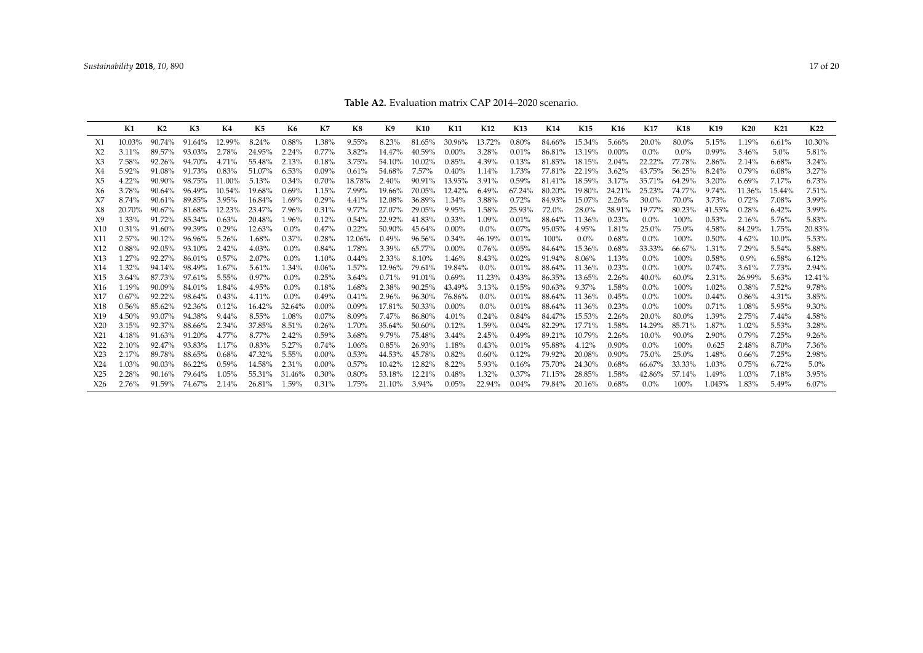<span id="page-16-0"></span>

|                                    | K1             | K <sub>2</sub>   | K3               | K4             | K5               | <b>K6</b>       | K7             | K8             | K9               | K <sub>10</sub>    | K11            | K <sub>12</sub> | K13            | K14              | K15              | K <sub>16</sub> | K17               | <b>K18</b>     | K19             | <b>K20</b>     | K21            | K <sub>22</sub>   |
|------------------------------------|----------------|------------------|------------------|----------------|------------------|-----------------|----------------|----------------|------------------|--------------------|----------------|-----------------|----------------|------------------|------------------|-----------------|-------------------|----------------|-----------------|----------------|----------------|-------------------|
| X1                                 | 10.03%         | 90.74%           | 91.64%           | 12.99%         | 8.24%            | 0.88%           | 1.38%          | 9.55%          | 8.23%            | 81.65%             | 30.96%         | 13.72%          | 0.80%          | 84.66%           | 15.34%           | 5.66%           | 20.0%             | 80.0%          | 5.15%           | 1.19%          | 6.61%          | 10.30%            |
| X2                                 | $3.11\%$       | 89.57%           | 93.03%           | 2.78%          | 24.95%           | 2.24%           | 0.77%          | 3.82%          | 14.47%           | 40.59%             | $0.00\%$       | 3.28%           | 0.01%          | 86.81%           | 13.19%           | $0.00\%$        | $0.0\%$           | $0.0\%$        | $0.99\%$        | 3.46%          | 5.0%           | 5.81%             |
| X3                                 | 7.58%          | 92.26%           | 94.70%           | 4.71%          | 55.48%           | 2.13%           | 0.18%          | 3.75%          | 54.10%           | $10.02\%$          | 0.85%          | 4.39%           | 0.13%          | 81.85%           | 18.15%           | 2.04%           | 22.22%            | 77.78%         | 2.86%           | 2.14%          | 6.68%          | 3.24%             |
| X4                                 | 5.92%          | 91.08%           | 91.73%           | 0.83%          | 51.07%           | 6.53%           | $0.09\%$       | 0.61%          | 54.68%           | 7.57%              | 0.40%          | 1.14%           | 1.73%          | 77.81%           | 22.19%           | $3.62\%$        | 43.75%            | 56.25%         | 8.24%           | 0.79%          | 6.08%          | 3.27%             |
| X5                                 | 4.22%          | $90.90\%$        | 98.75%           | 11.00%         | 5.13%            | 0.34%           | 0.70%          | 18.78%         | 2.40%            | 90.91%             | 13.95%         | 3.91%           | 0.59%          | 81.41%           | 18.59%           | 3.17%           | 35.71%            | 64.29%         | 3.20%           | 6.69%          | 7.17%          | 6.73%             |
| X6                                 | 3.78%          | $90.64\%$        | 96.49%           | 10.54%         | 19.68%           | 0.69%           | 1.15%          | 7.99%          | 19.66%           | 70.05%             | 12.42%         | 6.49%           | 67.24%         | 80.20%           | 19.80%           | 24.21%          | 25.23%            | 74.77%         | 9.74%           | 11.36%         | 15.44%         | 7.51%             |
| X7                                 | 8.74%          | $90.61\%$        | 89.85%           | 3.95%          | 16.84%           | 1.69%           | 0.29%          | 4.41%          | 12.08%           | 36.89%             | 1.34%          | 3.88%           | 0.72%          | 84.93%           | 15.07%           | 2.26%           | $30.0\%$          | 70.0%          | 3.73%           | 0.72%          | 7.08%          | 3.99%             |
| X8                                 | 20.70%         | 90.67%           | 81.68%           | 12.23%         | 23.47%           | 7.96%           | 0.31%          | $9.77\%$       | 27.07%           | 29.05%             | 9.95%          | 1.58%           | 25.93%         | 72.0%            | 28.0%            | 38.91%          | 19.77%            | 80.23%         | 41.55%          | 0.28%          | 6.42%          | 3.99%             |
| X9                                 | 1.33%          | $91.72\%$        | 85.34%           | 0.63%          | 20.48%           | 1.96%           | 0.12%          | 0.54%          | 22.92%           | 41.83%             | $0.33\%$       | 1.09%           | 0.01%          | 88.64%           | 11.36%           | 0.23%           | $0.0\%$           | 100%           | 0.53%           | 2.16%          | 5.76%          | 5.83%             |
| X10                                | 0.31%          | 91.60%           | 99.39%           | 0.29%          | 12.63%           | $0.0\%$         | 0.47%          | 0.22%          | 50.90%           | 45.64%             | $0.00\%$       | $0.0\%$         | 0.07%          | 95.05%           | 4.95%            | 1.81%           | 25.0%             | 75.0%          | 4.58%           | 84.29%         | 1.75%          | 20.83%            |
| X11                                | 2.57%          | 90.12%           | 96.96%           | 5.26%          | 1.68%            | 0.37%           | 0.28%          | 12.06%         | 0.49%            | 96.56%             | 0.34%          | 46.19%          | 0.01%          | 100%             | $0.0\%$          | 0.68%           | $0.0\%$           | 100%           | 0.50%           | 4.62%          | 10.0%          | 5.53%             |
| X <sub>12</sub>                    | 0.88%          | 92.05%           | 93.10%           | 2.42%          | 4.03%            | $0.0\%$         | 0.84%          | 1.78%          | 3.39%            | 65.77%             | $0.00\%$       | 0.76%           | 0.05%          | 84.64%           | 15.36%           | 0.68%           | 33.33%            | 66.67%         | 1.31%           | 7.29%          | 5.54%          | 5.88%             |
| X13                                | 1.27%          | $92.27\%$        | 86.01%           | 0.57%          | 2.07%            | $0.0\%$         | 1.10%          | $0.44\%$       | 2.33%            | 8.10%              | 1.46%          | 8.43%           | 0.02%          | 91.94%           | 8.06%            | 1.13%           | $0.0\%$           | 100%           | 0.58%           | $0.9\%$        | 6.58%          | 6.12%             |
| X14                                | 1.32%          | 94.14%           | 98.49%           | 1.67%          | 5.61%            | 1.34%           | 0.06%          | 1.57%          | 12.96%           | 79.61%             | 19.84%         | $0.0\%$         | 0.01%          | 88.64%           | 11.36%           | 0.23%           | $0.0\%$           | 100%           | 0.74%           | 3.61%          | 7.73%          | 2.94%             |
| X <sub>15</sub>                    | 3.64%          | 87.73%           | 97.61%           | 5.55%          | 0.97%            | $0.0\%$         | 0.25%          | 3.64%          | 0.71%            | 91.01%             | 0.69%          | 11.23%          | 0.43%          | 86.35%           | $13.65\%$        | 2.26%           | $40.0\%$          | $60.0\%$       | 2.31%           | 26.99%         | 5.63%          | 12.41%            |
| X16                                | 1.19%          | 90.09%           | 84.01%           | 1.84%          | 4.95%            | $0.0\%$         | 0.18%          | 1.68%          | 2.38%            | 90.25%             | 43.49%         | 3.13%           | 0.15%          | 90.63%           | $9.37\%$         | 1.58%           | $0.0\%$           | 100%           | 1.02%           | 0.38%          | $7.52\%$       | 9.78%             |
| X17                                | 0.67%          | 92.22%           | 98.64%           | 0.43%          | 4.11%            | $0.0\%$         | 0.49%          | 0.41%          | 2.96%            | 96.30%             | 76.86%         | $0.0\%$         | 0.01%          | 88.64%           | 11.36%           | 0.45%           | $0.0\%$           | 100%           | $0.44\%$        | 0.86%          | 4.31%          | 3.85%             |
| X18                                | 0.56%          | 85.62%           | 92.36%           | 0.12%          | 16.42%           | 32.64%          | $0.00\%$       | 0.09%          | 17.81%           | 50.33%             | $0.00\%$       | $0.0\%$         | 0.01%          | 88.64%           | 11.36%           | 0.23%           | $0.0\%$           | 100%           | 0.71%           | 1.08%          | 5.95%          | 9.30%             |
| X <sub>19</sub>                    | 4.50%          | 93.07%           | 94.38%           | 9.44%          | 8.55%            | 1.08%           | $0.07\%$       | 8.09%          | 7.47%            | 86.80%             | 4.01%          | 0.24%           | 0.84%          | 84.47%           | 15.53%           | 2.26%           | 20.0%             | 80.0%          | 1.39%           | 2.75%          | 7.44%          | 4.58%             |
| X <sub>20</sub>                    | 3.15%          | 92.37%           | 88.66%           | 2.34%          | 37.85%           | 8.51%           | 0.26%          | 1.70%          | 35.64%           | 50.60%             | 0.12%          | 1.59%           | 0.04%          | 82.29%           | 17.71%           | 1.58%           | 14.29%            | 85.71%         | 1.87%           | 1.02%          | 5.53%          | 3.28%             |
| X21                                | 4.18%          | $91.63\%$        | 91.20%           | 4.77%          | 8.77%            | 2.42%           | 0.59%          | 3.68%          | 9.79%            | 75.48%             | 3.44%          | 2.45%           | 0.49%          | 89.21%           | $10.79\%$        | 2.26%           | 10.0%             | $90.0\%$       | 2.90%           | 0.79%          | 7.25%          | 9.26%             |
| X <sub>22</sub>                    | 2.10%          | 92.47%           | 93.83%           | 1.17%          | 0.83%            | 5.27%           | 0.74%          | 1.06%          | 0.85%            | 26.93%             | 1.18%          | 0.43%           | 0.01%          | 95.88%           | 4.12%            | 0.90%           | $0.0\%$           | 100%           | 0.625           | 2.48%          | 8.70%          | 7.36%             |
| X23                                | 2.17%          | 89.78%           | 88.65%           | 0.68%          | 47.32%           | 5.55%           | $0.00\%$       | 0.53%          | 44.53%           | 45.78%             | 0.82%          | 0.60%           | 0.12%          | 79.92%           | 20.08%           | 0.90%           | 75.0%             | 25.0%          | 1.48%           | 0.66%          | 7.25%          | 2.98%             |
| X24                                | 1.03%          | 90.03%           | 86.22%           | 0.59%          | 14.58%           | 2.31%           | $0.00\%$       | 0.57%          | 10.42%           | 12.82%             | 8.22%          | 5.93%           | 0.16%          | 75.70%           | 24.30%           | 0.68%           | 66.67%            | 33.33%         | 1.03%           | 0.75%          | 6.72%          | 5.0%              |
| X <sub>25</sub><br>X <sub>26</sub> | 2.28%<br>2.76% | 90.16%<br>91.59% | 79.64%<br>74.67% | 1.05%<br>2.14% | 55.31%<br>26.81% | 31.46%<br>1.59% | 0.30%<br>0.31% | 0.80%<br>1.75% | 53.18%<br>21.10% | 12.21%<br>$3.94\%$ | 0.48%<br>0.05% | 1.32%<br>22.94% | 0.37%<br>0.04% | 71.15%<br>79.84% | 28.85%<br>20.16% | 1.58%<br>0.68%  | 42.86%<br>$0.0\%$ | 57.14%<br>100% | 1.49%<br>1.045% | 1.03%<br>1.83% | 7.18%<br>5.49% | 3.95%<br>$6.07\%$ |
|                                    |                |                  |                  |                |                  |                 |                |                |                  |                    |                |                 |                |                  |                  |                 |                   |                |                 |                |                |                   |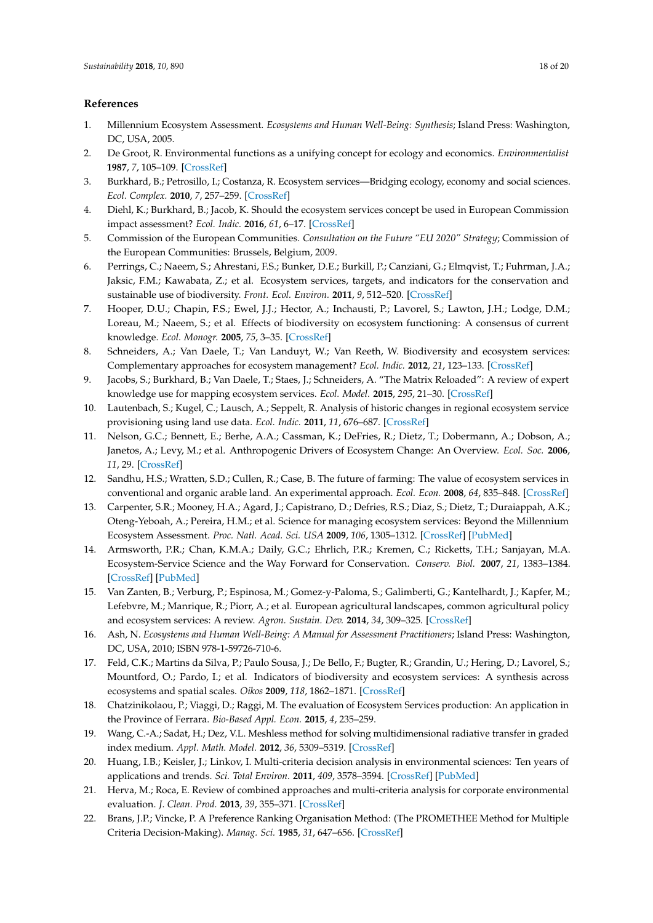#### **References**

- <span id="page-17-0"></span>1. Millennium Ecosystem Assessment. *Ecosystems and Human Well-Being: Synthesis*; Island Press: Washington, DC, USA, 2005.
- <span id="page-17-1"></span>2. De Groot, R. Environmental functions as a unifying concept for ecology and economics. *Environmentalist* **1987**, *7*, 105–109. [\[CrossRef\]](http://dx.doi.org/10.1007/BF02240292)
- <span id="page-17-2"></span>3. Burkhard, B.; Petrosillo, I.; Costanza, R. Ecosystem services—Bridging ecology, economy and social sciences. *Ecol. Complex.* **2010**, *7*, 257–259. [\[CrossRef\]](http://dx.doi.org/10.1016/j.ecocom.2010.07.001)
- <span id="page-17-3"></span>4. Diehl, K.; Burkhard, B.; Jacob, K. Should the ecosystem services concept be used in European Commission impact assessment? *Ecol. Indic.* **2016**, *61*, 6–17. [\[CrossRef\]](http://dx.doi.org/10.1016/j.ecolind.2015.07.013)
- <span id="page-17-4"></span>5. Commission of the European Communities. *Consultation on the Future "EU 2020" Strategy*; Commission of the European Communities: Brussels, Belgium, 2009.
- <span id="page-17-5"></span>6. Perrings, C.; Naeem, S.; Ahrestani, F.S.; Bunker, D.E.; Burkill, P.; Canziani, G.; Elmqvist, T.; Fuhrman, J.A.; Jaksic, F.M.; Kawabata, Z.; et al. Ecosystem services, targets, and indicators for the conservation and sustainable use of biodiversity. *Front. Ecol. Environ.* **2011**, *9*, 512–520. [\[CrossRef\]](http://dx.doi.org/10.1890/100212)
- <span id="page-17-6"></span>7. Hooper, D.U.; Chapin, F.S.; Ewel, J.J.; Hector, A.; Inchausti, P.; Lavorel, S.; Lawton, J.H.; Lodge, D.M.; Loreau, M.; Naeem, S.; et al. Effects of biodiversity on ecosystem functioning: A consensus of current knowledge. *Ecol. Monogr.* **2005**, *75*, 3–35. [\[CrossRef\]](http://dx.doi.org/10.1890/04-0922)
- <span id="page-17-7"></span>8. Schneiders, A.; Van Daele, T.; Van Landuyt, W.; Van Reeth, W. Biodiversity and ecosystem services: Complementary approaches for ecosystem management? *Ecol. Indic.* **2012**, *21*, 123–133. [\[CrossRef\]](http://dx.doi.org/10.1016/j.ecolind.2011.06.021)
- <span id="page-17-8"></span>9. Jacobs, S.; Burkhard, B.; Van Daele, T.; Staes, J.; Schneiders, A. "The Matrix Reloaded": A review of expert knowledge use for mapping ecosystem services. *Ecol. Model.* **2015**, *295*, 21–30. [\[CrossRef\]](http://dx.doi.org/10.1016/j.ecolmodel.2014.08.024)
- <span id="page-17-9"></span>10. Lautenbach, S.; Kugel, C.; Lausch, A.; Seppelt, R. Analysis of historic changes in regional ecosystem service provisioning using land use data. *Ecol. Indic.* **2011**, *11*, 676–687. [\[CrossRef\]](http://dx.doi.org/10.1016/j.ecolind.2010.09.007)
- <span id="page-17-10"></span>11. Nelson, G.C.; Bennett, E.; Berhe, A.A.; Cassman, K.; DeFries, R.; Dietz, T.; Dobermann, A.; Dobson, A.; Janetos, A.; Levy, M.; et al. Anthropogenic Drivers of Ecosystem Change: An Overview. *Ecol. Soc.* **2006**, *11*, 29. [\[CrossRef\]](http://dx.doi.org/10.5751/ES-01826-110229)
- <span id="page-17-11"></span>12. Sandhu, H.S.; Wratten, S.D.; Cullen, R.; Case, B. The future of farming: The value of ecosystem services in conventional and organic arable land. An experimental approach. *Ecol. Econ.* **2008**, *64*, 835–848. [\[CrossRef\]](http://dx.doi.org/10.1016/j.ecolecon.2007.05.007)
- <span id="page-17-12"></span>13. Carpenter, S.R.; Mooney, H.A.; Agard, J.; Capistrano, D.; Defries, R.S.; Diaz, S.; Dietz, T.; Duraiappah, A.K.; Oteng-Yeboah, A.; Pereira, H.M.; et al. Science for managing ecosystem services: Beyond the Millennium Ecosystem Assessment. *Proc. Natl. Acad. Sci. USA* **2009**, *106*, 1305–1312. [\[CrossRef\]](http://dx.doi.org/10.1073/pnas.0808772106) [\[PubMed\]](http://www.ncbi.nlm.nih.gov/pubmed/19179280)
- <span id="page-17-13"></span>14. Armsworth, P.R.; Chan, K.M.A.; Daily, G.C.; Ehrlich, P.R.; Kremen, C.; Ricketts, T.H.; Sanjayan, M.A. Ecosystem-Service Science and the Way Forward for Conservation. *Conserv. Biol.* **2007**, *21*, 1383–1384. [\[CrossRef\]](http://dx.doi.org/10.1111/j.1523-1739.2007.00821.x) [\[PubMed\]](http://www.ncbi.nlm.nih.gov/pubmed/18173455)
- <span id="page-17-14"></span>15. Van Zanten, B.; Verburg, P.; Espinosa, M.; Gomez-y-Paloma, S.; Galimberti, G.; Kantelhardt, J.; Kapfer, M.; Lefebvre, M.; Manrique, R.; Piorr, A.; et al. European agricultural landscapes, common agricultural policy and ecosystem services: A review. *Agron. Sustain. Dev.* **2014**, *34*, 309–325. [\[CrossRef\]](http://dx.doi.org/10.1007/s13593-013-0183-4)
- <span id="page-17-15"></span>16. Ash, N. *Ecosystems and Human Well-Being: A Manual for Assessment Practitioners*; Island Press: Washington, DC, USA, 2010; ISBN 978-1-59726-710-6.
- <span id="page-17-16"></span>17. Feld, C.K.; Martins da Silva, P.; Paulo Sousa, J.; De Bello, F.; Bugter, R.; Grandin, U.; Hering, D.; Lavorel, S.; Mountford, O.; Pardo, I.; et al. Indicators of biodiversity and ecosystem services: A synthesis across ecosystems and spatial scales. *Oikos* **2009**, *118*, 1862–1871. [\[CrossRef\]](http://dx.doi.org/10.1111/j.1600-0706.2009.17860.x)
- <span id="page-17-17"></span>18. Chatzinikolaou, P.; Viaggi, D.; Raggi, M. The evaluation of Ecosystem Services production: An application in the Province of Ferrara. *Bio-Based Appl. Econ.* **2015**, *4*, 235–259.
- <span id="page-17-18"></span>19. Wang, C.-A.; Sadat, H.; Dez, V.L. Meshless method for solving multidimensional radiative transfer in graded index medium. *Appl. Math. Model.* **2012**, *36*, 5309–5319. [\[CrossRef\]](http://dx.doi.org/10.1016/j.apm.2011.12.027)
- 20. Huang, I.B.; Keisler, J.; Linkov, I. Multi-criteria decision analysis in environmental sciences: Ten years of applications and trends. *Sci. Total Environ.* **2011**, *409*, 3578–3594. [\[CrossRef\]](http://dx.doi.org/10.1016/j.scitotenv.2011.06.022) [\[PubMed\]](http://www.ncbi.nlm.nih.gov/pubmed/21764422)
- <span id="page-17-19"></span>21. Herva, M.; Roca, E. Review of combined approaches and multi-criteria analysis for corporate environmental evaluation. *J. Clean. Prod.* **2013**, *39*, 355–371. [\[CrossRef\]](http://dx.doi.org/10.1016/j.jclepro.2012.07.058)
- <span id="page-17-20"></span>22. Brans, J.P.; Vincke, P. A Preference Ranking Organisation Method: (The PROMETHEE Method for Multiple Criteria Decision-Making). *Manag. Sci.* **1985**, *31*, 647–656. [\[CrossRef\]](http://dx.doi.org/10.1287/mnsc.31.6.647)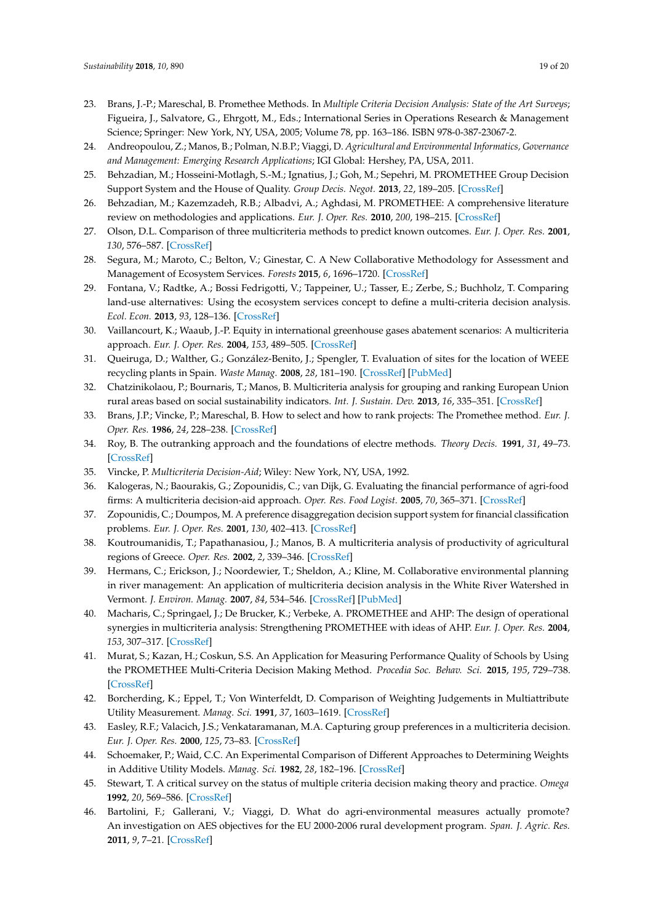- <span id="page-18-0"></span>23. Brans, J.-P.; Mareschal, B. Promethee Methods. In *Multiple Criteria Decision Analysis: State of the Art Surveys*; Figueira, J., Salvatore, G., Ehrgott, M., Eds.; International Series in Operations Research & Management Science; Springer: New York, NY, USA, 2005; Volume 78, pp. 163–186. ISBN 978-0-387-23067-2.
- <span id="page-18-1"></span>24. Andreopoulou, Z.; Manos, B.; Polman, N.B.P.; Viaggi, D. *Agricultural and Environmental Informatics, Governance and Management: Emerging Research Applications*; IGI Global: Hershey, PA, USA, 2011.
- 25. Behzadian, M.; Hosseini-Motlagh, S.-M.; Ignatius, J.; Goh, M.; Sepehri, M. PROMETHEE Group Decision Support System and the House of Quality. *Group Decis. Negot.* **2013**, *22*, 189–205. [\[CrossRef\]](http://dx.doi.org/10.1007/s10726-011-9257-3)
- 26. Behzadian, M.; Kazemzadeh, R.B.; Albadvi, A.; Aghdasi, M. PROMETHEE: A comprehensive literature review on methodologies and applications. *Eur. J. Oper. Res.* **2010**, *200*, 198–215. [\[CrossRef\]](http://dx.doi.org/10.1016/j.ejor.2009.01.021)
- <span id="page-18-2"></span>27. Olson, D.L. Comparison of three multicriteria methods to predict known outcomes. *Eur. J. Oper. Res.* **2001**, *130*, 576–587. [\[CrossRef\]](http://dx.doi.org/10.1016/S0377-2217(99)00416-6)
- <span id="page-18-3"></span>28. Segura, M.; Maroto, C.; Belton, V.; Ginestar, C. A New Collaborative Methodology for Assessment and Management of Ecosystem Services. *Forests* **2015**, *6*, 1696–1720. [\[CrossRef\]](http://dx.doi.org/10.3390/f6051696)
- <span id="page-18-4"></span>29. Fontana, V.; Radtke, A.; Bossi Fedrigotti, V.; Tappeiner, U.; Tasser, E.; Zerbe, S.; Buchholz, T. Comparing land-use alternatives: Using the ecosystem services concept to define a multi-criteria decision analysis. *Ecol. Econ.* **2013**, *93*, 128–136. [\[CrossRef\]](http://dx.doi.org/10.1016/j.ecolecon.2013.05.007)
- <span id="page-18-5"></span>30. Vaillancourt, K.; Waaub, J.-P. Equity in international greenhouse gases abatement scenarios: A multicriteria approach. *Eur. J. Oper. Res.* **2004**, *153*, 489–505. [\[CrossRef\]](http://dx.doi.org/10.1016/S0377-2217(03)00170-X)
- <span id="page-18-6"></span>31. Queiruga, D.; Walther, G.; González-Benito, J.; Spengler, T. Evaluation of sites for the location of WEEE recycling plants in Spain. *Waste Manag.* **2008**, *28*, 181–190. [\[CrossRef\]](http://dx.doi.org/10.1016/j.wasman.2006.11.001) [\[PubMed\]](http://www.ncbi.nlm.nih.gov/pubmed/17198752)
- <span id="page-18-7"></span>32. Chatzinikolaou, P.; Bournaris, T.; Manos, B. Multicriteria analysis for grouping and ranking European Union rural areas based on social sustainability indicators. *Int. J. Sustain. Dev.* **2013**, *16*, 335–351. [\[CrossRef\]](http://dx.doi.org/10.1504/IJSD.2013.056559)
- <span id="page-18-8"></span>33. Brans, J.P.; Vincke, P.; Mareschal, B. How to select and how to rank projects: The Promethee method. *Eur. J. Oper. Res.* **1986**, *24*, 228–238. [\[CrossRef\]](http://dx.doi.org/10.1016/0377-2217(86)90044-5)
- <span id="page-18-9"></span>34. Roy, B. The outranking approach and the foundations of electre methods. *Theory Decis.* **1991**, *31*, 49–73. [\[CrossRef\]](http://dx.doi.org/10.1007/BF00134132)
- <span id="page-18-10"></span>35. Vincke, P. *Multicriteria Decision-Aid*; Wiley: New York, NY, USA, 1992.
- <span id="page-18-11"></span>36. Kalogeras, N.; Baourakis, G.; Zopounidis, C.; van Dijk, G. Evaluating the financial performance of agri-food firms: A multicriteria decision-aid approach. *Oper. Res. Food Logist.* **2005**, *70*, 365–371. [\[CrossRef\]](http://dx.doi.org/10.1016/j.jfoodeng.2004.01.039)
- <span id="page-18-12"></span>37. Zopounidis, C.; Doumpos, M. A preference disaggregation decision support system for financial classification problems. *Eur. J. Oper. Res.* **2001**, *130*, 402–413. [\[CrossRef\]](http://dx.doi.org/10.1016/S0377-2217(00)00044-8)
- <span id="page-18-13"></span>38. Koutroumanidis, T.; Papathanasiou, J.; Manos, B. A multicriteria analysis of productivity of agricultural regions of Greece. *Oper. Res.* **2002**, *2*, 339–346. [\[CrossRef\]](http://dx.doi.org/10.1007/BF02936389)
- <span id="page-18-14"></span>39. Hermans, C.; Erickson, J.; Noordewier, T.; Sheldon, A.; Kline, M. Collaborative environmental planning in river management: An application of multicriteria decision analysis in the White River Watershed in Vermont. *J. Environ. Manag.* **2007**, *84*, 534–546. [\[CrossRef\]](http://dx.doi.org/10.1016/j.jenvman.2006.07.013) [\[PubMed\]](http://www.ncbi.nlm.nih.gov/pubmed/17029759)
- <span id="page-18-15"></span>40. Macharis, C.; Springael, J.; De Brucker, K.; Verbeke, A. PROMETHEE and AHP: The design of operational synergies in multicriteria analysis: Strengthening PROMETHEE with ideas of AHP. *Eur. J. Oper. Res.* **2004**, *153*, 307–317. [\[CrossRef\]](http://dx.doi.org/10.1016/S0377-2217(03)00153-X)
- <span id="page-18-16"></span>41. Murat, S.; Kazan, H.; Coskun, S.S. An Application for Measuring Performance Quality of Schools by Using the PROMETHEE Multi-Criteria Decision Making Method. *Procedia Soc. Behav. Sci.* **2015**, *195*, 729–738. [\[CrossRef\]](http://dx.doi.org/10.1016/j.sbspro.2015.06.344)
- <span id="page-18-17"></span>42. Borcherding, K.; Eppel, T.; Von Winterfeldt, D. Comparison of Weighting Judgements in Multiattribute Utility Measurement. *Manag. Sci.* **1991**, *37*, 1603–1619. [\[CrossRef\]](http://dx.doi.org/10.1287/mnsc.37.12.1603)
- <span id="page-18-18"></span>43. Easley, R.F.; Valacich, J.S.; Venkataramanan, M.A. Capturing group preferences in a multicriteria decision. *Eur. J. Oper. Res.* **2000**, *125*, 73–83. [\[CrossRef\]](http://dx.doi.org/10.1016/S0377-2217(99)00196-4)
- <span id="page-18-19"></span>44. Schoemaker, P.; Waid, C.C. An Experimental Comparison of Different Approaches to Determining Weights in Additive Utility Models. *Manag. Sci.* **1982**, *28*, 182–196. [\[CrossRef\]](http://dx.doi.org/10.1287/mnsc.28.2.182)
- <span id="page-18-20"></span>45. Stewart, T. A critical survey on the status of multiple criteria decision making theory and practice. *Omega* **1992**, *20*, 569–586. [\[CrossRef\]](http://dx.doi.org/10.1016/0305-0483(92)90003-P)
- <span id="page-18-21"></span>46. Bartolini, F.; Gallerani, V.; Viaggi, D. What do agri-environmental measures actually promote? An investigation on AES objectives for the EU 2000-2006 rural development program. *Span. J. Agric. Res.* **2011**, *9*, 7–21. [\[CrossRef\]](http://dx.doi.org/10.5424/sjar/20110901-223-10)